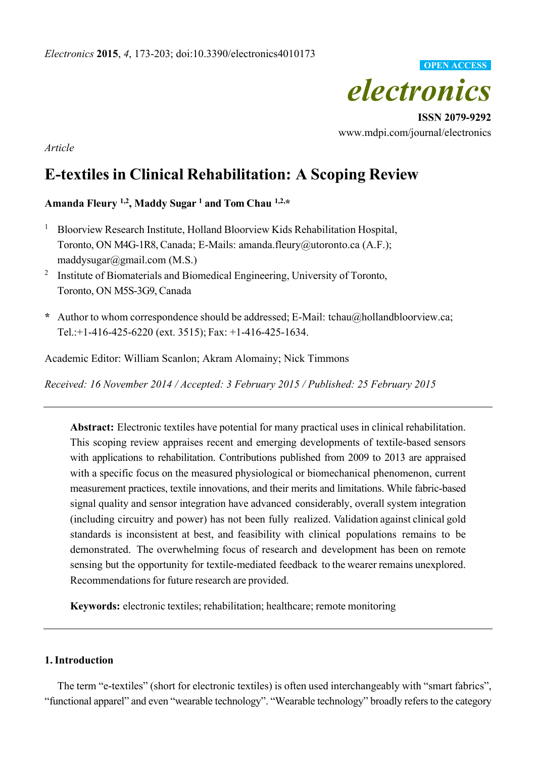

**ISSN 2079-9292**  www.mdpi.com/journal/electronics

*Article* 

# **E-textiles in Clinical Rehabilitation: A Scoping Review**

# **Amanda Fleury 1,2, Maddy Sugar 1 and Tom Chau 1,2,\***

- 1 Bloorview Research Institute, Holland Bloorview Kids Rehabilitation Hospital, Toronto, ON M4G-1R8, Canada; E-Mails: amanda.fleury@utoronto.ca (A.F.);  $m$ addysugar $\omega$ gmail.com (M.S.)
- 2 Institute of Biomaterials and Biomedical Engineering, University of Toronto, Toronto, ON M5S-3G9, Canada
- **\*** Author to whom correspondence should be addressed; E-Mail: tchau@hollandbloorview.ca; Tel.:+1-416-425-6220 (ext. 3515); Fax: +1-416-425-1634.

Academic Editor: William Scanlon; Akram Alomainy; Nick Timmons

*Received: 16 November 2014 / Accepted: 3 February 2015 / Published: 25 February 2015* 

**Abstract:** Electronic textiles have potential for many practical uses in clinical rehabilitation. This scoping review appraises recent and emerging developments of textile-based sensors with applications to rehabilitation. Contributions published from 2009 to 2013 are appraised with a specific focus on the measured physiological or biomechanical phenomenon, current measurement practices, textile innovations, and their merits and limitations. While fabric-based signal quality and sensor integration have advanced considerably, overall system integration (including circuitry and power) has not been fully realized. Validation against clinical gold standards is inconsistent at best, and feasibility with clinical populations remains to be demonstrated. The overwhelming focus of research and development has been on remote sensing but the opportunity for textile-mediated feedback to the wearer remains unexplored. Recommendations for future research are provided.

**Keywords:** electronic textiles; rehabilitation; healthcare; remote monitoring

## **1. Introduction**

The term "e-textiles" (short for electronic textiles) is often used interchangeably with "smart fabrics", "functional apparel" and even "wearable technology". "Wearable technology" broadly refers to the category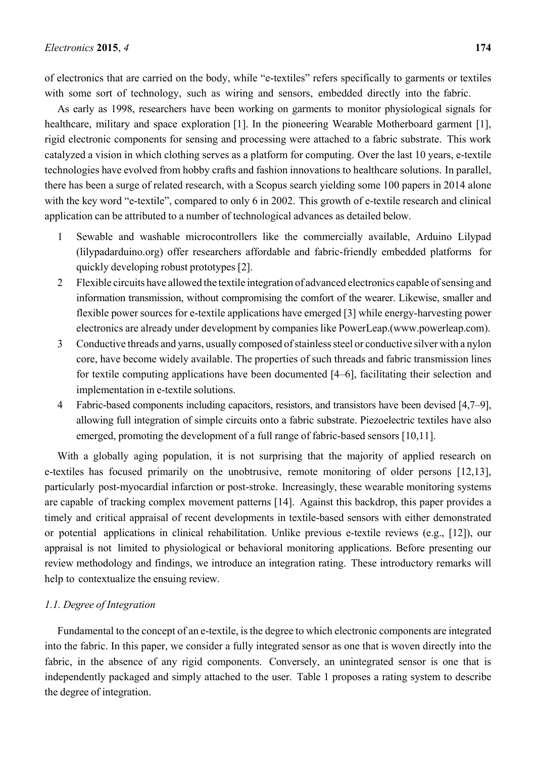of electronics that are carried on the body, while "e-textiles" refers specifically to garments or textiles with some sort of technology, such as wiring and sensors, embedded directly into the fabric.

As early as 1998, researchers have been working on garments to monitor physiological signals for healthcare, military and space exploration [1]. In the pioneering Wearable Motherboard garment [1], rigid electronic components for sensing and processing were attached to a fabric substrate. This work catalyzed a vision in which clothing serves as a platform for computing. Over the last 10 years, e-textile technologies have evolved from hobby crafts and fashion innovations to healthcare solutions. In parallel, there has been a surge of related research, with a Scopus search yielding some 100 papers in 2014 alone with the key word "e-textile", compared to only 6 in 2002. This growth of e-textile research and clinical application can be attributed to a number of technological advances as detailed below.

- 1 Sewable and washable microcontrollers like the commercially available, Arduino Lilypad (lilypadarduino.org) offer researchers affordable and fabric-friendly embedded platforms for quickly developing robust prototypes [2].
- 2 Flexible circuits have allowed the textile integration of advanced electronics capable of sensing and information transmission, without compromising the comfort of the wearer. Likewise, smaller and flexible power sources for e-textile applications have emerged [3] while energy-harvesting power electronics are already under development by companies like PowerLeap.(www.powerleap.com).
- 3 Conductive threads and yarns, usually composed of stainless steel or conductive silver with a nylon core, have become widely available. The properties of such threads and fabric transmission lines for textile computing applications have been documented [4–6], facilitating their selection and implementation in e-textile solutions.
- 4 Fabric-based components including capacitors, resistors, and transistors have been devised [4,7–9], allowing full integration of simple circuits onto a fabric substrate. Piezoelectric textiles have also emerged, promoting the development of a full range of fabric-based sensors [10,11].

With a globally aging population, it is not surprising that the majority of applied research on e-textiles has focused primarily on the unobtrusive, remote monitoring of older persons [12,13], particularly post-myocardial infarction or post-stroke. Increasingly, these wearable monitoring systems are capable of tracking complex movement patterns [14]. Against this backdrop, this paper provides a timely and critical appraisal of recent developments in textile-based sensors with either demonstrated or potential applications in clinical rehabilitation. Unlike previous e-textile reviews (e.g., [12]), our appraisal is not limited to physiological or behavioral monitoring applications. Before presenting our review methodology and findings, we introduce an integration rating. These introductory remarks will help to contextualize the ensuing review.

## *1.1. Degree of Integration*

Fundamental to the concept of an e-textile, is the degree to which electronic components are integrated into the fabric. In this paper, we consider a fully integrated sensor as one that is woven directly into the fabric, in the absence of any rigid components. Conversely, an unintegrated sensor is one that is independently packaged and simply attached to the user. Table 1 proposes a rating system to describe the degree of integration.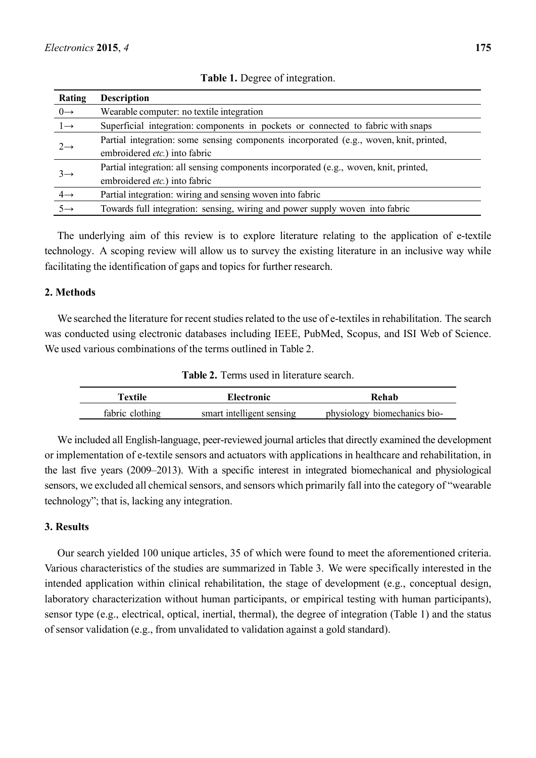| Rating          | <b>Description</b>                                                                                                      |
|-----------------|-------------------------------------------------------------------------------------------------------------------------|
| $0 \rightarrow$ | Wearable computer: no textile integration                                                                               |
| $1 \rightarrow$ | Superficial integration: components in pockets or connected to fabric with snaps                                        |
| $2 \rightarrow$ | Partial integration: some sensing components incorporated (e.g., woven, knit, printed,<br>embroidered etc.) into fabric |
| $3 \rightarrow$ | Partial integration: all sensing components incorporated (e.g., woven, knit, printed,<br>embroidered etc.) into fabric  |
| $4 \rightarrow$ | Partial integration: wiring and sensing woven into fabric                                                               |
| $5 \rightarrow$ | Towards full integration: sensing, wiring and power supply woven into fabric                                            |

**Table 1.** Degree of integration.

The underlying aim of this review is to explore literature relating to the application of e-textile technology. A scoping review will allow us to survey the existing literature in an inclusive way while facilitating the identification of gaps and topics for further research.

# **2. Methods**

We searched the literature for recent studies related to the use of e-textiles in rehabilitation. The search was conducted using electronic databases including IEEE, PubMed, Scopus, and ISI Web of Science. We used various combinations of the terms outlined in Table 2.

**Table 2.** Terms used in literature search.

| Textile         | Electronic                | <b>Rehab</b>                 |  |  |
|-----------------|---------------------------|------------------------------|--|--|
| fabric clothing | smart intelligent sensing | physiology biomechanics bio- |  |  |

We included all English-language, peer-reviewed journal articles that directly examined the development or implementation of e-textile sensors and actuators with applications in healthcare and rehabilitation, in the last five years (2009–2013). With a specific interest in integrated biomechanical and physiological sensors, we excluded all chemical sensors, and sensors which primarily fall into the category of "wearable technology"; that is, lacking any integration.

# **3. Results**

Our search yielded 100 unique articles, 35 of which were found to meet the aforementioned criteria. Various characteristics of the studies are summarized in Table 3. We were specifically interested in the intended application within clinical rehabilitation, the stage of development (e.g., conceptual design, laboratory characterization without human participants, or empirical testing with human participants), sensor type (e.g., electrical, optical, inertial, thermal), the degree of integration (Table 1) and the status of sensor validation (e.g., from unvalidated to validation against a gold standard).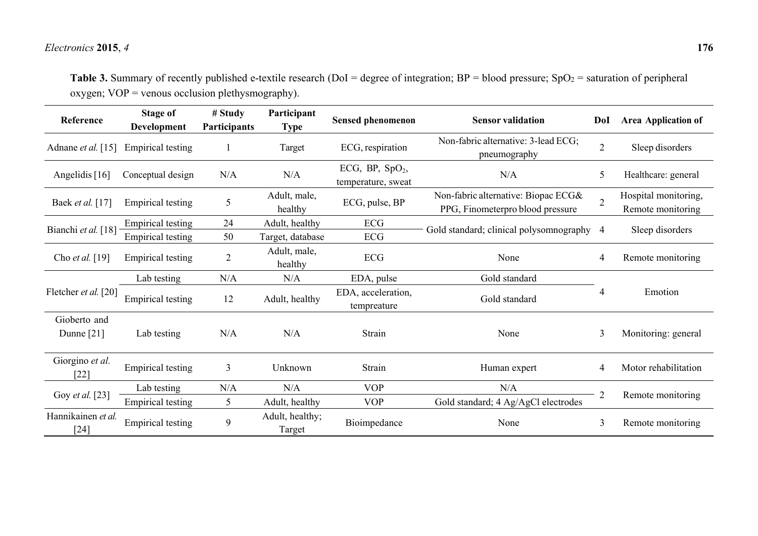| <b>Table 3.</b> Summary of recently published e-textile research (DoI = degree of integration; BP = blood pressure; SpO <sub>2</sub> = saturation of peripheral |  |
|-----------------------------------------------------------------------------------------------------------------------------------------------------------------|--|
| oxygen; $VOP$ = venous occlusion plethysmography).                                                                                                              |  |

| Reference                                       | <b>Stage of</b><br><b>Development</b> | # Study<br><b>Participants</b> | Participant<br><b>Type</b> | <b>Sensed phenomenon</b>                | <b>Sensor validation</b>                                                | Dol            | <b>Area Application of</b>                |
|-------------------------------------------------|---------------------------------------|--------------------------------|----------------------------|-----------------------------------------|-------------------------------------------------------------------------|----------------|-------------------------------------------|
| Adnane <i>et al.</i> [15]                       | Empirical testing                     |                                | Target                     | ECG, respiration                        | Non-fabric alternative: 3-lead ECG;<br>pneumography                     | $\overline{2}$ | Sleep disorders                           |
| Angelidis [16]                                  | Conceptual design                     | N/A                            | N/A                        | ECG, BP, $SpO2$ ,<br>temperature, sweat | N/A                                                                     | 5              | Healthcare: general                       |
| Baek et al. [17]                                | <b>Empirical testing</b>              | 5                              | Adult, male,<br>healthy    | ECG, pulse, BP                          | Non-fabric alternative: Biopac ECG&<br>PPG, Finometerpro blood pressure | $\overline{2}$ | Hospital monitoring,<br>Remote monitoring |
| Bianchi et al. [18]                             | <b>Empirical testing</b>              | 24                             | Adult, healthy             | ECG                                     | Gold standard; clinical polysomnography                                 |                | Sleep disorders                           |
|                                                 | <b>Empirical testing</b>              | 50                             | Target, database           | ECG                                     |                                                                         | $\overline{4}$ |                                           |
| Cho et al. [19]                                 | <b>Empirical testing</b>              | $\overline{2}$                 | Adult, male,<br>healthy    | ECG                                     | None                                                                    | 4              | Remote monitoring                         |
| Fletcher et al. [20]                            | Lab testing                           | N/A                            | N/A                        | EDA, pulse                              | Gold standard                                                           | 4              | Emotion                                   |
|                                                 | <b>Empirical testing</b>              | 12                             | Adult, healthy             | EDA, acceleration,<br>tempreature       | Gold standard                                                           |                |                                           |
| Gioberto and<br>Dunne $[21]$                    | Lab testing                           | N/A                            | N/A                        | Strain                                  | None                                                                    | 3              | Monitoring: general                       |
| Giorgino et al.<br>$\left\lceil 22\right\rceil$ | <b>Empirical testing</b>              | 3                              | Unknown                    | Strain                                  | Human expert                                                            | 4              | Motor rehabilitation                      |
| Goy et al. [23]                                 | Lab testing                           | N/A                            | N/A                        | <b>VOP</b>                              | N/A                                                                     | $\overline{2}$ | Remote monitoring                         |
|                                                 | <b>Empirical testing</b>              | 5                              | Adult, healthy             | <b>VOP</b>                              | Gold standard; 4 Ag/AgCl electrodes                                     |                |                                           |
| Hannikainen et al.<br>[24]                      | <b>Empirical testing</b>              | 9                              | Adult, healthy;<br>Target  | Bioimpedance                            | None                                                                    | 3              | Remote monitoring                         |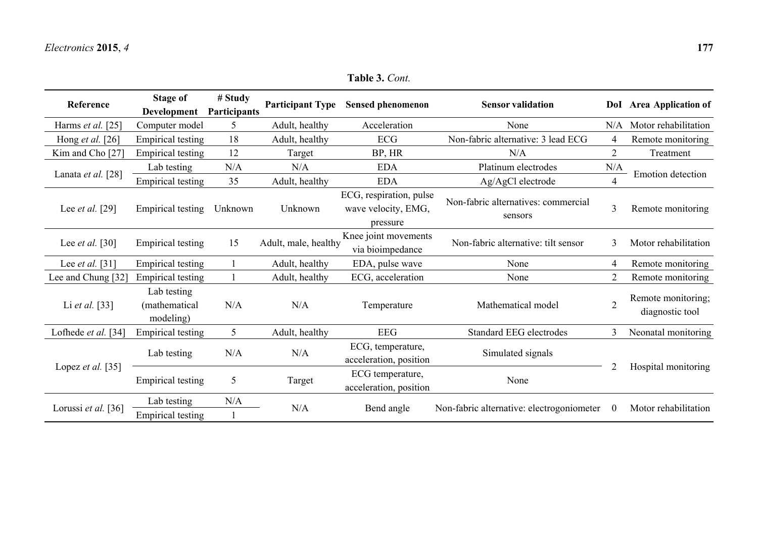**Table 3.** *Cont.* 

| Reference              | <b>Stage of</b><br><b>Development</b>     | # Study<br>Participants | <b>Participant Type</b> | <b>Sensed phenomenon</b>                                   | <b>Sensor validation</b>                       |                | DoI Area Application of               |  |
|------------------------|-------------------------------------------|-------------------------|-------------------------|------------------------------------------------------------|------------------------------------------------|----------------|---------------------------------------|--|
| Harms et al. $[25]$    | Computer model                            | 5                       | Adult, healthy          | Acceleration                                               | None                                           |                | N/A Motor rehabilitation              |  |
| Hong et al. [26]       | <b>Empirical testing</b>                  | 18                      | Adult, healthy          | <b>ECG</b>                                                 | Non-fabric alternative: 3 lead ECG             | 4              | Remote monitoring                     |  |
| Kim and Cho [27]       | <b>Empirical testing</b>                  | 12                      | Target                  | BP, HR                                                     | N/A                                            | $\overline{2}$ | Treatment                             |  |
|                        | Lab testing                               | N/A                     | N/A                     | <b>EDA</b>                                                 | Platinum electrodes                            | N/A            |                                       |  |
| Lanata et al. [28]     | <b>Empirical testing</b>                  | 35                      | Adult, healthy          | <b>EDA</b>                                                 | Ag/AgCl electrode                              | 4              | Emotion detection                     |  |
| Lee <i>et al.</i> [29] | <b>Empirical testing</b>                  | Unknown                 | Unknown                 | ECG, respiration, pulse<br>wave velocity, EMG,<br>pressure | Non-fabric alternatives: commercial<br>sensors | $\overline{3}$ | Remote monitoring                     |  |
| Lee <i>et al.</i> [30] | <b>Empirical testing</b>                  | 15                      | Adult, male, healthy    | Knee joint movements<br>via bioimpedance                   | Non-fabric alternative: tilt sensor            | 3              | Motor rehabilitation                  |  |
| Lee <i>et al.</i> [31] | <b>Empirical testing</b>                  |                         | Adult, healthy          | EDA, pulse wave                                            | None                                           | 4              | Remote monitoring                     |  |
| Lee and Chung [32]     | <b>Empirical testing</b>                  |                         | Adult, healthy          | ECG, acceleration                                          | None                                           |                | Remote monitoring                     |  |
| Li et al. $[33]$       | Lab testing<br>(mathematical<br>modeling) | N/A                     | N/A                     | Temperature                                                | Mathematical model                             | $\overline{2}$ | Remote monitoring;<br>diagnostic tool |  |
| Lofhede et al. [34]    | <b>Empirical testing</b>                  | 5                       | Adult, healthy          | <b>EEG</b>                                                 | <b>Standard EEG electrodes</b>                 | $\mathcal{E}$  | Neonatal monitoring                   |  |
|                        | Lab testing                               | N/A                     | N/A                     | ECG, temperature,<br>acceleration, position                | Simulated signals                              |                |                                       |  |
| Lopez et al. $[35]$    | <b>Empirical testing</b>                  | 5                       | Target                  | ECG temperature,<br>acceleration, position                 | None                                           |                | Hospital monitoring                   |  |
| Lorussi et al. [36]    | Lab testing                               | N/A                     |                         | Bend angle                                                 | Non-fabric alternative: electrogoniometer      |                | Motor rehabilitation                  |  |
|                        | <b>Empirical testing</b>                  |                         | N/A                     |                                                            |                                                |                |                                       |  |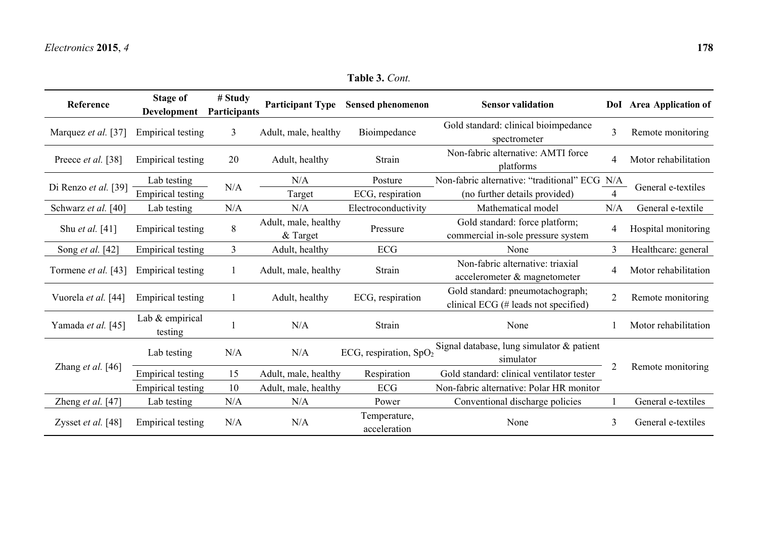| Reference              | Stage of<br>Development    | # Study<br>Participants | <b>Participant Type</b>            | <b>Sensed phenomenon</b>                          | <b>Sensor validation</b>                                                 |                | DoI Area Application of |
|------------------------|----------------------------|-------------------------|------------------------------------|---------------------------------------------------|--------------------------------------------------------------------------|----------------|-------------------------|
| Marquez et al. [37]    | <b>Empirical testing</b>   | 3                       | Adult, male, healthy               | Bioimpedance                                      | Gold standard: clinical bioimpedance<br>spectrometer                     | 3              | Remote monitoring       |
| Preece et al. [38]     | Empirical testing          | 20                      | Adult, healthy                     | Strain                                            | Non-fabric alternative: AMTI force<br>platforms                          | 4              | Motor rehabilitation    |
|                        | Lab testing                |                         | N/A                                | Posture                                           | Non-fabric alternative: "traditional" ECG N/A                            |                | General e-textiles      |
| Di Renzo et al. [39]   | <b>Empirical testing</b>   | N/A                     | Target                             | (no further details provided)<br>ECG, respiration |                                                                          | 4              |                         |
| Schwarz et al. [40]    | Lab testing                | N/A                     | N/A                                | Electroconductivity                               | Mathematical model                                                       | N/A            | General e-textile       |
| Shu <i>et al.</i> [41] | <b>Empirical testing</b>   | 8                       | Adult, male, healthy<br>$&$ Target | Pressure                                          | Gold standard: force platform;<br>commercial in-sole pressure system     | 4              | Hospital monitoring     |
| Song et al. [42]       | <b>Empirical testing</b>   | $\overline{3}$          | Adult, healthy                     | ECG                                               | None                                                                     | 3              | Healthcare: general     |
| Tormene et al. [43]    | Empirical testing          |                         | Adult, male, healthy               | Strain                                            | Non-fabric alternative: triaxial<br>accelerometer & magnetometer         | 4              | Motor rehabilitation    |
| Vuorela et al. [44]    | Empirical testing          |                         | Adult, healthy                     | ECG, respiration                                  | Gold standard: pneumotachograph;<br>clinical ECG (# leads not specified) | $\overline{2}$ | Remote monitoring       |
| Yamada et al. [45]     | Lab & empirical<br>testing |                         | N/A                                | Strain                                            | None                                                                     |                | Motor rehabilitation    |
| Zhang et al. $[46]$    | Lab testing                | N/A                     | N/A                                | ECG, respiration, $SpO2$                          | Signal database, lung simulator & patient<br>simulator                   | $\mathfrak{D}$ |                         |
|                        | <b>Empirical testing</b>   | 15                      | Adult, male, healthy               | Respiration                                       | Gold standard: clinical ventilator tester                                |                | Remote monitoring       |
|                        | Empirical testing          | 10                      | Adult, male, healthy               | <b>ECG</b>                                        | Non-fabric alternative: Polar HR monitor                                 |                |                         |
| Zheng et al. [47]      | Lab testing                | N/A                     | N/A                                | Power                                             | Conventional discharge policies                                          |                | General e-textiles      |
| Zysset et al. [48]     | <b>Empirical testing</b>   | N/A                     | N/A                                | Temperature,<br>acceleration                      | None                                                                     | 3              | General e-textiles      |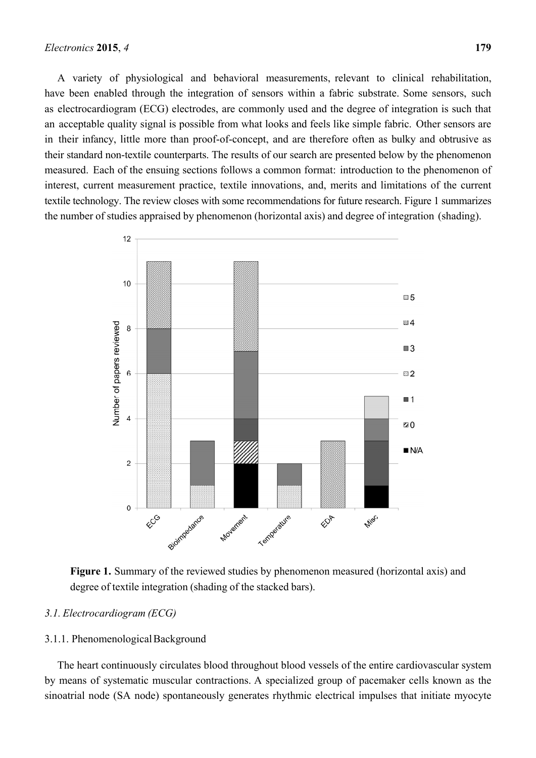A variety of physiological and behavioral measurements, relevant to clinical rehabilitation, have been enabled through the integration of sensors within a fabric substrate. Some sensors, such as electrocardiogram (ECG) electrodes, are commonly used and the degree of integration is such that an acceptable quality signal is possible from what looks and feels like simple fabric. Other sensors are in their infancy, little more than proof-of-concept, and are therefore often as bulky and obtrusive as their standard non-textile counterparts. The results of our search are presented below by the phenomenon measured. Each of the ensuing sections follows a common format: introduction to the phenomenon of interest, current measurement practice, textile innovations, and, merits and limitations of the current textile technology. The review closes with some recommendations for future research. Figure 1 summarizes the number of studies appraised by phenomenon (horizontal axis) and degree of integration (shading).



**Figure 1.** Summary of the reviewed studies by phenomenon measured (horizontal axis) and degree of textile integration (shading of the stacked bars).

# *3.1. Electrocardiogram (ECG)*

## 3.1.1. Phenomenological Background

The heart continuously circulates blood throughout blood vessels of the entire cardiovascular system by means of systematic muscular contractions. A specialized group of pacemaker cells known as the sinoatrial node (SA node) spontaneously generates rhythmic electrical impulses that initiate myocyte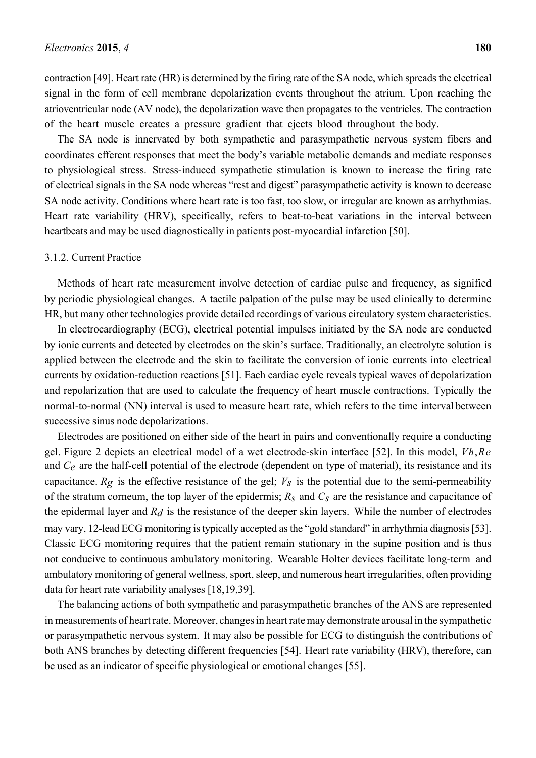contraction [49]. Heart rate (HR) is determined by the firing rate of the SA node, which spreads the electrical signal in the form of cell membrane depolarization events throughout the atrium. Upon reaching the atrioventricular node (AV node), the depolarization wave then propagates to the ventricles. The contraction of the heart muscle creates a pressure gradient that ejects blood throughout the body.

The SA node is innervated by both sympathetic and parasympathetic nervous system fibers and coordinates efferent responses that meet the body's variable metabolic demands and mediate responses to physiological stress. Stress-induced sympathetic stimulation is known to increase the firing rate of electrical signals in the SA node whereas "rest and digest" parasympathetic activity is known to decrease SA node activity. Conditions where heart rate is too fast, too slow, or irregular are known as arrhythmias. Heart rate variability (HRV), specifically, refers to beat-to-beat variations in the interval between heartbeats and may be used diagnostically in patients post-myocardial infarction [50].

## 3.1.2. Current Practice

Methods of heart rate measurement involve detection of cardiac pulse and frequency, as signified by periodic physiological changes. A tactile palpation of the pulse may be used clinically to determine HR, but many other technologies provide detailed recordings of various circulatory system characteristics.

In electrocardiography (ECG), electrical potential impulses initiated by the SA node are conducted by ionic currents and detected by electrodes on the skin's surface. Traditionally, an electrolyte solution is applied between the electrode and the skin to facilitate the conversion of ionic currents into electrical currents by oxidation-reduction reactions [51]. Each cardiac cycle reveals typical waves of depolarization and repolarization that are used to calculate the frequency of heart muscle contractions. Typically the normal-to-normal (NN) interval is used to measure heart rate, which refers to the time interval between successive sinus node depolarizations.

Electrodes are positioned on either side of the heart in pairs and conventionally require a conducting gel. Figure 2 depicts an electrical model of a wet electrode-skin interface [52]. In this model, *Vh*,*Re* and *Ce* are the half-cell potential of the electrode (dependent on type of material), its resistance and its capacitance.  $R_g$  is the effective resistance of the gel;  $V_s$  is the potential due to the semi-permeability of the stratum corneum, the top layer of the epidermis; *Rs* and *Cs* are the resistance and capacitance of the epidermal layer and  $R_d$  is the resistance of the deeper skin layers. While the number of electrodes may vary, 12-lead ECG monitoring is typically accepted as the "gold standard" in arrhythmia diagnosis[53]. Classic ECG monitoring requires that the patient remain stationary in the supine position and is thus not conducive to continuous ambulatory monitoring. Wearable Holter devices facilitate long-term and ambulatory monitoring of general wellness, sport, sleep, and numerous heart irregularities, often providing data for heart rate variability analyses [18,19,39].

The balancing actions of both sympathetic and parasympathetic branches of the ANS are represented in measurements of heart rate. Moreover, changes in heart rate may demonstrate arousal in the sympathetic or parasympathetic nervous system. It may also be possible for ECG to distinguish the contributions of both ANS branches by detecting different frequencies [54]. Heart rate variability (HRV), therefore, can be used as an indicator of specific physiological or emotional changes [55].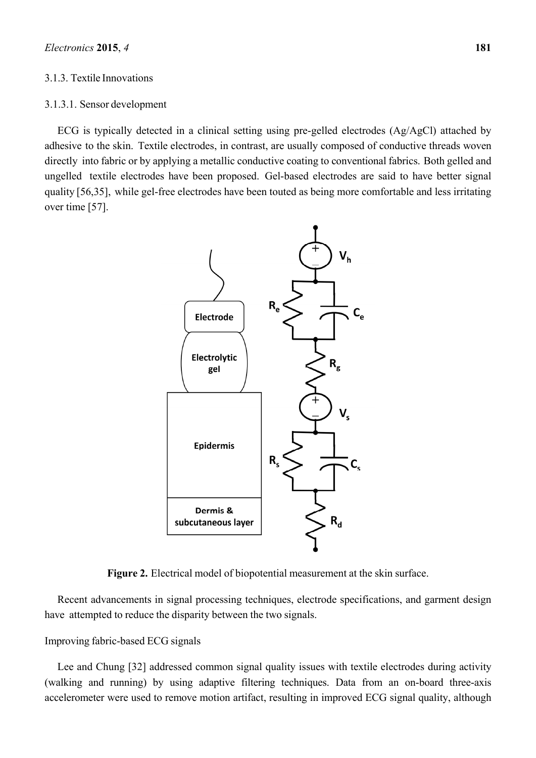## 3.1.3. Textile Innovations

## 3.1.3.1. Sensor development

ECG is typically detected in a clinical setting using pre-gelled electrodes (Ag/AgCl) attached by adhesive to the skin. Textile electrodes, in contrast, are usually composed of conductive threads woven directly into fabric or by applying a metallic conductive coating to conventional fabrics. Both gelled and ungelled textile electrodes have been proposed. Gel-based electrodes are said to have better signal quality [56,35], while gel-free electrodes have been touted as being more comfortable and less irritating over time [57].





Recent advancements in signal processing techniques, electrode specifications, and garment design have attempted to reduce the disparity between the two signals.

# Improving fabric-based ECG signals

Lee and Chung [32] addressed common signal quality issues with textile electrodes during activity (walking and running) by using adaptive filtering techniques. Data from an on-board three-axis accelerometer were used to remove motion artifact, resulting in improved ECG signal quality, although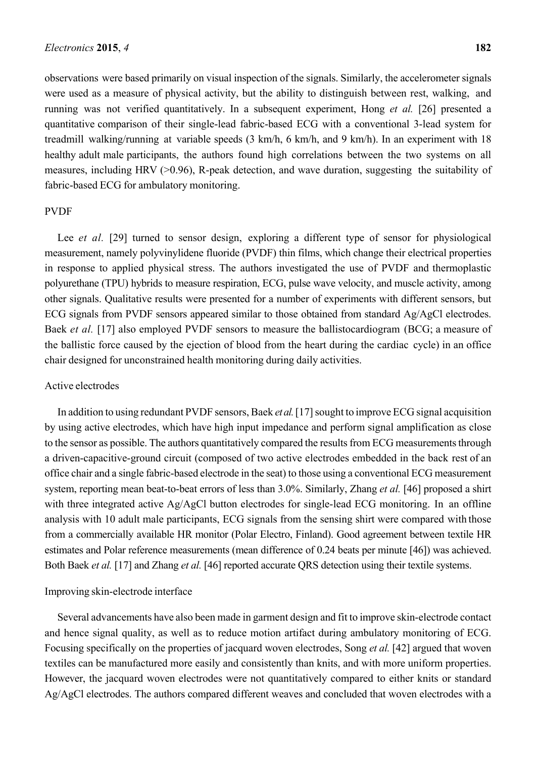observations were based primarily on visual inspection of the signals. Similarly, the accelerometer signals were used as a measure of physical activity, but the ability to distinguish between rest, walking, and running was not verified quantitatively. In a subsequent experiment, Hong *et al.* [26] presented a quantitative comparison of their single-lead fabric-based ECG with a conventional 3-lead system for treadmill walking/running at variable speeds (3 km/h, 6 km/h, and 9 km/h). In an experiment with 18 healthy adult male participants, the authors found high correlations between the two systems on all measures, including HRV (>0.96), R-peak detection, and wave duration, suggesting the suitability of fabric-based ECG for ambulatory monitoring.

#### PVDF

Lee *et al.* [29] turned to sensor design, exploring a different type of sensor for physiological measurement, namely polyvinylidene fluoride (PVDF) thin films, which change their electrical properties in response to applied physical stress. The authors investigated the use of PVDF and thermoplastic polyurethane (TPU) hybrids to measure respiration, ECG, pulse wave velocity, and muscle activity, among other signals. Qualitative results were presented for a number of experiments with different sensors, but ECG signals from PVDF sensors appeared similar to those obtained from standard Ag/AgCl electrodes. Baek *et al.* [17] also employed PVDF sensors to measure the ballistocardiogram (BCG; a measure of the ballistic force caused by the ejection of blood from the heart during the cardiac cycle) in an office chair designed for unconstrained health monitoring during daily activities.

## Active electrodes

In addition to using redundant PVDF sensors, Baek *et al.* [17] sought to improve ECG signal acquisition by using active electrodes, which have high input impedance and perform signal amplification as close to the sensor as possible. The authors quantitatively compared the results from ECG measurements through a driven-capacitive-ground circuit (composed of two active electrodes embedded in the back rest of an office chair and a single fabric-based electrode in the seat) to those using a conventional ECG measurement system, reporting mean beat-to-beat errors of less than 3.0%. Similarly, Zhang *et al.* [46] proposed a shirt with three integrated active Ag/AgCl button electrodes for single-lead ECG monitoring. In an offline analysis with 10 adult male participants, ECG signals from the sensing shirt were compared with those from a commercially available HR monitor (Polar Electro, Finland). Good agreement between textile HR estimates and Polar reference measurements (mean difference of 0.24 beats per minute [46]) was achieved. Both Baek *et al.* [17] and Zhang *et al.* [46] reported accurate QRS detection using their textile systems.

#### Improving skin-electrode interface

Several advancements have also been made in garment design and fit to improve skin-electrode contact and hence signal quality, as well as to reduce motion artifact during ambulatory monitoring of ECG. Focusing specifically on the properties of jacquard woven electrodes, Song *et al.* [42] argued that woven textiles can be manufactured more easily and consistently than knits, and with more uniform properties. However, the jacquard woven electrodes were not quantitatively compared to either knits or standard Ag/AgCl electrodes. The authors compared different weaves and concluded that woven electrodes with a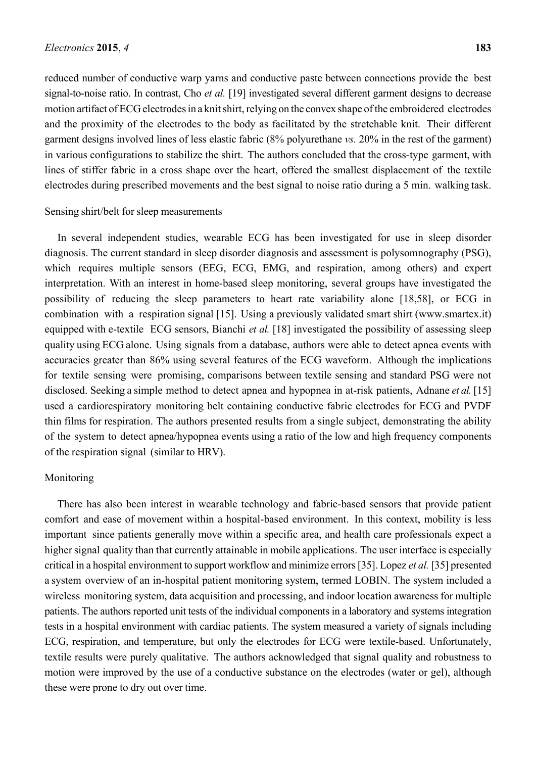reduced number of conductive warp yarns and conductive paste between connections provide the best signal-to-noise ratio. In contrast, Cho *et al.* [19] investigated several different garment designs to decrease motion artifact of ECG electrodes in a knit shirt, relying on the convex shape of the embroidered electrodes and the proximity of the electrodes to the body as facilitated by the stretchable knit. Their different garment designs involved lines of less elastic fabric (8% polyurethane *vs.* 20% in the rest of the garment) in various configurations to stabilize the shirt. The authors concluded that the cross-type garment, with lines of stiffer fabric in a cross shape over the heart, offered the smallest displacement of the textile electrodes during prescribed movements and the best signal to noise ratio during a 5 min. walking task.

### Sensing shirt/belt for sleep measurements

In several independent studies, wearable ECG has been investigated for use in sleep disorder diagnosis. The current standard in sleep disorder diagnosis and assessment is polysomnography (PSG), which requires multiple sensors (EEG, ECG, EMG, and respiration, among others) and expert interpretation. With an interest in home-based sleep monitoring, several groups have investigated the possibility of reducing the sleep parameters to heart rate variability alone [18,58], or ECG in combination with a respiration signal [15]. Using a previously validated smart shirt (www.smartex.it) equipped with e-textile ECG sensors, Bianchi *et al.* [18] investigated the possibility of assessing sleep quality using ECG alone. Using signals from a database, authors were able to detect apnea events with accuracies greater than 86% using several features of the ECG waveform. Although the implications for textile sensing were promising, comparisons between textile sensing and standard PSG were not disclosed. Seeking a simple method to detect apnea and hypopnea in at-risk patients, Adnane *et al.* [15] used a cardiorespiratory monitoring belt containing conductive fabric electrodes for ECG and PVDF thin films for respiration. The authors presented results from a single subject, demonstrating the ability of the system to detect apnea/hypopnea events using a ratio of the low and high frequency components of the respiration signal (similar to HRV).

## Monitoring

There has also been interest in wearable technology and fabric-based sensors that provide patient comfort and ease of movement within a hospital-based environment. In this context, mobility is less important since patients generally move within a specific area, and health care professionals expect a higher signal quality than that currently attainable in mobile applications. The user interface is especially critical in a hospital environment to support workflow and minimize errors [35]. Lopez *et al.* [35] presented a system overview of an in-hospital patient monitoring system, termed LOBIN. The system included a wireless monitoring system, data acquisition and processing, and indoor location awareness for multiple patients. The authors reported unit tests of the individual components in a laboratory and systems integration tests in a hospital environment with cardiac patients. The system measured a variety of signals including ECG, respiration, and temperature, but only the electrodes for ECG were textile-based. Unfortunately, textile results were purely qualitative. The authors acknowledged that signal quality and robustness to motion were improved by the use of a conductive substance on the electrodes (water or gel), although these were prone to dry out over time.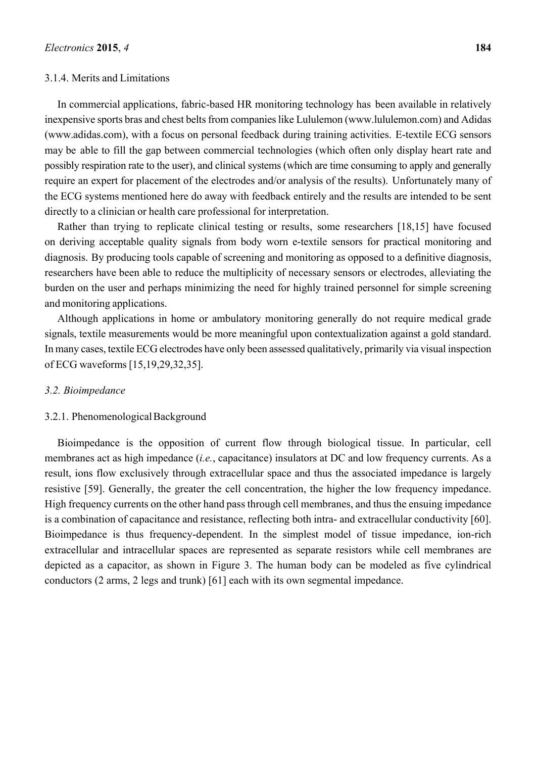## 3.1.4. Merits and Limitations

In commercial applications, fabric-based HR monitoring technology has been available in relatively inexpensive sports bras and chest belts from companies like Lululemon (www.lululemon.com) and Adidas (www.adidas.com), with a focus on personal feedback during training activities. E-textile ECG sensors may be able to fill the gap between commercial technologies (which often only display heart rate and possibly respiration rate to the user), and clinical systems (which are time consuming to apply and generally require an expert for placement of the electrodes and/or analysis of the results). Unfortunately many of the ECG systems mentioned here do away with feedback entirely and the results are intended to be sent directly to a clinician or health care professional for interpretation.

Rather than trying to replicate clinical testing or results, some researchers [18,15] have focused on deriving acceptable quality signals from body worn e-textile sensors for practical monitoring and diagnosis. By producing tools capable of screening and monitoring as opposed to a definitive diagnosis, researchers have been able to reduce the multiplicity of necessary sensors or electrodes, alleviating the burden on the user and perhaps minimizing the need for highly trained personnel for simple screening and monitoring applications.

Although applications in home or ambulatory monitoring generally do not require medical grade signals, textile measurements would be more meaningful upon contextualization against a gold standard. In many cases, textile ECG electrodes have only been assessed qualitatively, primarily via visual inspection of ECG waveforms [15,19,29,32,35].

## *3.2. Bioimpedance*

#### 3.2.1. Phenomenological Background

Bioimpedance is the opposition of current flow through biological tissue. In particular, cell membranes act as high impedance (*i.e.*, capacitance) insulators at DC and low frequency currents. As a result, ions flow exclusively through extracellular space and thus the associated impedance is largely resistive [59]. Generally, the greater the cell concentration, the higher the low frequency impedance. High frequency currents on the other hand pass through cell membranes, and thus the ensuing impedance is a combination of capacitance and resistance, reflecting both intra- and extracellular conductivity [60]. Bioimpedance is thus frequency-dependent. In the simplest model of tissue impedance, ion-rich extracellular and intracellular spaces are represented as separate resistors while cell membranes are depicted as a capacitor, as shown in Figure 3. The human body can be modeled as five cylindrical conductors (2 arms, 2 legs and trunk) [61] each with its own segmental impedance.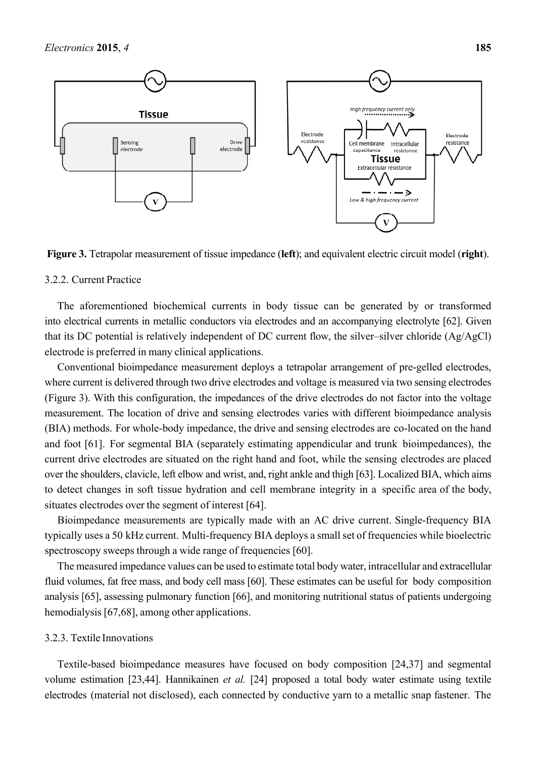

**Figure 3.** Tetrapolar measurement of tissue impedance (**left**); and equivalent electric circuit model (**right**).

#### 3.2.2. Current Practice

The aforementioned biochemical currents in body tissue can be generated by or transformed into electrical currents in metallic conductors via electrodes and an accompanying electrolyte [62]. Given that its DC potential is relatively independent of DC current flow, the silver–silver chloride (Ag/AgCl) electrode is preferred in many clinical applications.

Conventional bioimpedance measurement deploys a tetrapolar arrangement of pre-gelled electrodes, where current is delivered through two drive electrodes and voltage is measured via two sensing electrodes (Figure 3). With this configuration, the impedances of the drive electrodes do not factor into the voltage measurement. The location of drive and sensing electrodes varies with different bioimpedance analysis (BIA) methods. For whole-body impedance, the drive and sensing electrodes are co-located on the hand and foot [61]. For segmental BIA (separately estimating appendicular and trunk bioimpedances), the current drive electrodes are situated on the right hand and foot, while the sensing electrodes are placed over the shoulders, clavicle, left elbow and wrist, and, right ankle and thigh [63]. Localized BIA, which aims to detect changes in soft tissue hydration and cell membrane integrity in a specific area of the body, situates electrodes over the segment of interest [64].

Bioimpedance measurements are typically made with an AC drive current. Single-frequency BIA typically uses a 50 kHz current. Multi-frequency BIA deploys a small set of frequencies while bioelectric spectroscopy sweeps through a wide range of frequencies [60].

The measured impedance values can be used to estimate total body water, intracellular and extracellular fluid volumes, fat free mass, and body cell mass [60]. These estimates can be useful for body composition analysis [65], assessing pulmonary function [66], and monitoring nutritional status of patients undergoing hemodialysis [67,68], among other applications.

## 3.2.3. Textile Innovations

Textile-based bioimpedance measures have focused on body composition [24,37] and segmental volume estimation [23,44]. Hannikainen *et al.* [24] proposed a total body water estimate using textile electrodes (material not disclosed), each connected by conductive yarn to a metallic snap fastener. The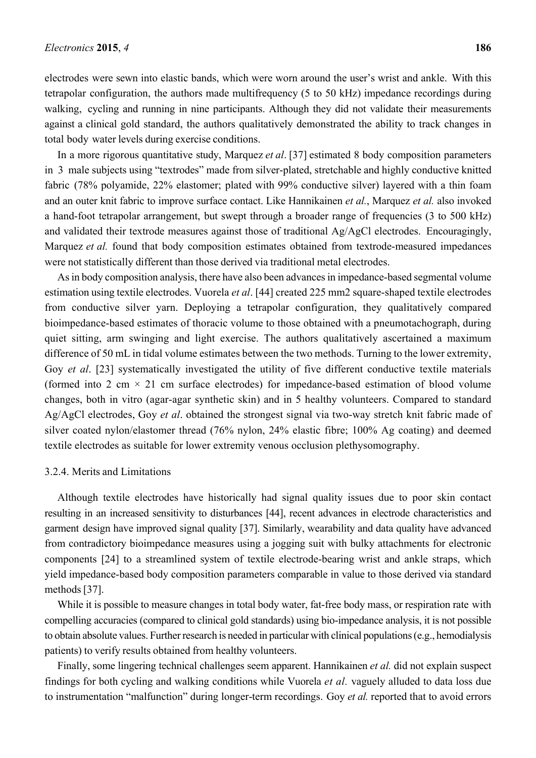electrodes were sewn into elastic bands, which were worn around the user's wrist and ankle. With this tetrapolar configuration, the authors made multifrequency (5 to 50 kHz) impedance recordings during walking, cycling and running in nine participants. Although they did not validate their measurements against a clinical gold standard, the authors qualitatively demonstrated the ability to track changes in total body water levels during exercise conditions.

In a more rigorous quantitative study, Marquez *et al*. [37] estimated 8 body composition parameters in 3 male subjects using "textrodes" made from silver-plated, stretchable and highly conductive knitted fabric (78% polyamide, 22% elastomer; plated with 99% conductive silver) layered with a thin foam and an outer knit fabric to improve surface contact. Like Hannikainen *et al.*, Marquez *et al.* also invoked a hand-foot tetrapolar arrangement, but swept through a broader range of frequencies (3 to 500 kHz) and validated their textrode measures against those of traditional Ag/AgCl electrodes. Encouragingly, Marquez *et al.* found that body composition estimates obtained from textrode-measured impedances were not statistically different than those derived via traditional metal electrodes.

As in body composition analysis, there have also been advances in impedance-based segmental volume estimation using textile electrodes. Vuorela *et al*. [44] created 225 mm2 square-shaped textile electrodes from conductive silver yarn. Deploying a tetrapolar configuration, they qualitatively compared bioimpedance-based estimates of thoracic volume to those obtained with a pneumotachograph, during quiet sitting, arm swinging and light exercise. The authors qualitatively ascertained a maximum difference of 50 mL in tidal volume estimates between the two methods. Turning to the lower extremity, Goy *et al.* [23] systematically investigated the utility of five different conductive textile materials (formed into 2 cm  $\times$  21 cm surface electrodes) for impedance-based estimation of blood volume changes, both in vitro (agar-agar synthetic skin) and in 5 healthy volunteers. Compared to standard Ag/AgCl electrodes, Goy *et al*. obtained the strongest signal via two-way stretch knit fabric made of silver coated nylon/elastomer thread (76% nylon, 24% elastic fibre; 100% Ag coating) and deemed textile electrodes as suitable for lower extremity venous occlusion plethysomography.

## 3.2.4. Merits and Limitations

Although textile electrodes have historically had signal quality issues due to poor skin contact resulting in an increased sensitivity to disturbances [44], recent advances in electrode characteristics and garment design have improved signal quality [37]. Similarly, wearability and data quality have advanced from contradictory bioimpedance measures using a jogging suit with bulky attachments for electronic components [24] to a streamlined system of textile electrode-bearing wrist and ankle straps, which yield impedance-based body composition parameters comparable in value to those derived via standard methods [37].

While it is possible to measure changes in total body water, fat-free body mass, or respiration rate with compelling accuracies (compared to clinical gold standards) using bio-impedance analysis, it is not possible to obtain absolute values. Further research is needed in particular with clinical populations (e.g., hemodialysis patients) to verify results obtained from healthy volunteers.

Finally, some lingering technical challenges seem apparent. Hannikainen *et al.* did not explain suspect findings for both cycling and walking conditions while Vuorela *et al.* vaguely alluded to data loss due to instrumentation "malfunction" during longer-term recordings. Goy *et al.* reported that to avoid errors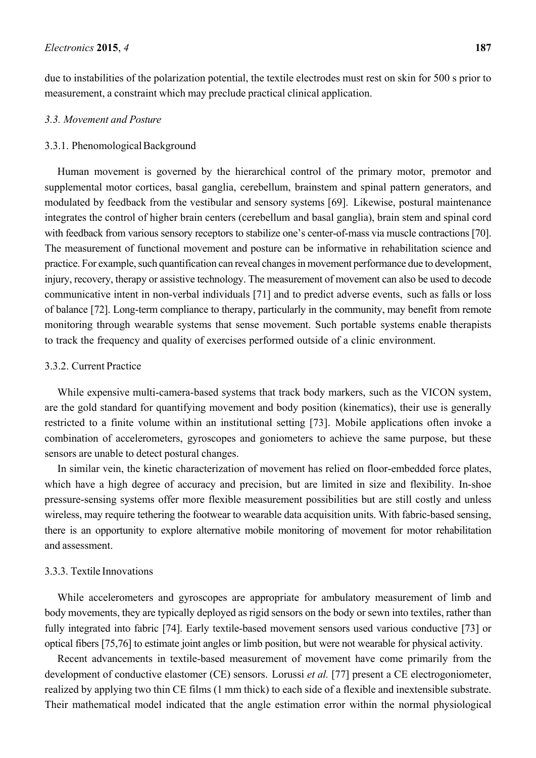due to instabilities of the polarization potential, the textile electrodes must rest on skin for 500 s prior to measurement, a constraint which may preclude practical clinical application.

#### *3.3. Movement and Posture*

## 3.3.1. Phenomological Background

Human movement is governed by the hierarchical control of the primary motor, premotor and supplemental motor cortices, basal ganglia, cerebellum, brainstem and spinal pattern generators, and modulated by feedback from the vestibular and sensory systems [69]. Likewise, postural maintenance integrates the control of higher brain centers (cerebellum and basal ganglia), brain stem and spinal cord with feedback from various sensory receptors to stabilize one's center-of-mass via muscle contractions [70]. The measurement of functional movement and posture can be informative in rehabilitation science and practice. For example, such quantification can reveal changes in movement performance due to development, injury, recovery, therapy or assistive technology. The measurement of movement can also be used to decode communicative intent in non-verbal individuals [71] and to predict adverse events, such as falls or loss of balance [72]. Long-term compliance to therapy, particularly in the community, may benefit from remote monitoring through wearable systems that sense movement. Such portable systems enable therapists to track the frequency and quality of exercises performed outside of a clinic environment.

## 3.3.2. Current Practice

While expensive multi-camera-based systems that track body markers, such as the VICON system, are the gold standard for quantifying movement and body position (kinematics), their use is generally restricted to a finite volume within an institutional setting [73]. Mobile applications often invoke a combination of accelerometers, gyroscopes and goniometers to achieve the same purpose, but these sensors are unable to detect postural changes.

In similar vein, the kinetic characterization of movement has relied on floor-embedded force plates, which have a high degree of accuracy and precision, but are limited in size and flexibility. In-shoe pressure-sensing systems offer more flexible measurement possibilities but are still costly and unless wireless, may require tethering the footwear to wearable data acquisition units. With fabric-based sensing, there is an opportunity to explore alternative mobile monitoring of movement for motor rehabilitation and assessment.

# 3.3.3. Textile Innovations

While accelerometers and gyroscopes are appropriate for ambulatory measurement of limb and body movements, they are typically deployed as rigid sensors on the body or sewn into textiles, rather than fully integrated into fabric [74]. Early textile-based movement sensors used various conductive [73] or optical fibers [75,76] to estimate joint angles or limb position, but were not wearable for physical activity.

Recent advancements in textile-based measurement of movement have come primarily from the development of conductive elastomer (CE) sensors. Lorussi *et al.* [77] present a CE electrogoniometer, realized by applying two thin CE films (1 mm thick) to each side of a flexible and inextensible substrate. Their mathematical model indicated that the angle estimation error within the normal physiological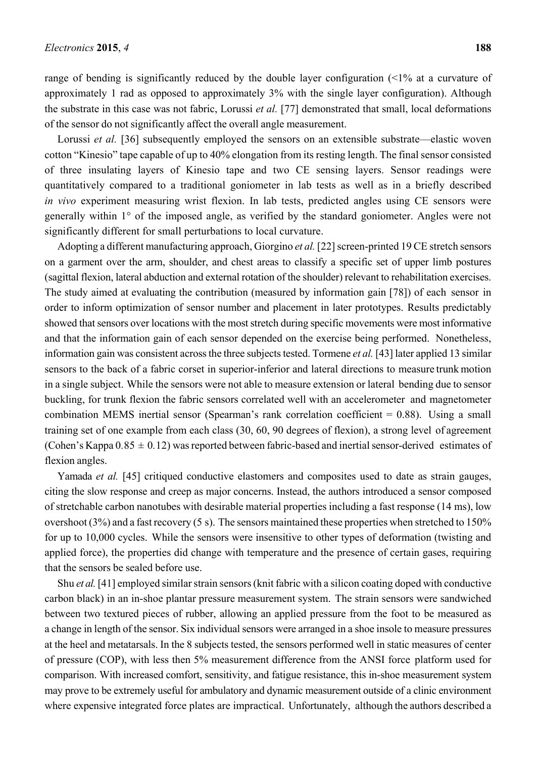range of bending is significantly reduced by the double layer configuration (<1% at a curvature of approximately 1 rad as opposed to approximately 3% with the single layer configuration). Although the substrate in this case was not fabric, Lorussi *et al.* [77] demonstrated that small, local deformations of the sensor do not significantly affect the overall angle measurement.

Lorussi *et al.* [36] subsequently employed the sensors on an extensible substrate—elastic woven cotton "Kinesio" tape capable of up to 40% elongation from its resting length. The final sensor consisted of three insulating layers of Kinesio tape and two CE sensing layers. Sensor readings were quantitatively compared to a traditional goniometer in lab tests as well as in a briefly described *in vivo* experiment measuring wrist flexion. In lab tests, predicted angles using CE sensors were generally within 1° of the imposed angle, as verified by the standard goniometer. Angles were not significantly different for small perturbations to local curvature.

Adopting a different manufacturing approach, Giorgino *et al.* [22] screen-printed 19 CE stretch sensors on a garment over the arm, shoulder, and chest areas to classify a specific set of upper limb postures (sagittal flexion, lateral abduction and external rotation of the shoulder) relevant to rehabilitation exercises. The study aimed at evaluating the contribution (measured by information gain [78]) of each sensor in order to inform optimization of sensor number and placement in later prototypes. Results predictably showed that sensors over locations with the most stretch during specific movements were most informative and that the information gain of each sensor depended on the exercise being performed. Nonetheless, information gain was consistent across the three subjects tested. Tormene *et al.* [43] later applied 13 similar sensors to the back of a fabric corset in superior-inferior and lateral directions to measure trunk motion in a single subject. While the sensors were not able to measure extension or lateral bending due to sensor buckling, for trunk flexion the fabric sensors correlated well with an accelerometer and magnetometer combination MEMS inertial sensor (Spearman's rank correlation coefficient = 0.88). Using a small training set of one example from each class (30, 60, 90 degrees of flexion), a strong level of agreement (Cohen's Kappa  $0.85 \pm 0.12$ ) was reported between fabric-based and inertial sensor-derived estimates of flexion angles.

Yamada *et al.* [45] critiqued conductive elastomers and composites used to date as strain gauges, citing the slow response and creep as major concerns. Instead, the authors introduced a sensor composed of stretchable carbon nanotubes with desirable material properties including a fast response (14 ms), low overshoot (3%) and a fast recovery (5 s). The sensors maintained these properties when stretched to 150% for up to 10,000 cycles. While the sensors were insensitive to other types of deformation (twisting and applied force), the properties did change with temperature and the presence of certain gases, requiring that the sensors be sealed before use.

Shu *et al.* [41] employed similar strain sensors (knit fabric with a silicon coating doped with conductive carbon black) in an in-shoe plantar pressure measurement system. The strain sensors were sandwiched between two textured pieces of rubber, allowing an applied pressure from the foot to be measured as a change in length of the sensor. Six individual sensors were arranged in a shoe insole to measure pressures at the heel and metatarsals. In the 8 subjects tested, the sensors performed well in static measures of center of pressure (COP), with less then 5% measurement difference from the ANSI force platform used for comparison. With increased comfort, sensitivity, and fatigue resistance, this in-shoe measurement system may prove to be extremely useful for ambulatory and dynamic measurement outside of a clinic environment where expensive integrated force plates are impractical. Unfortunately, although the authors described a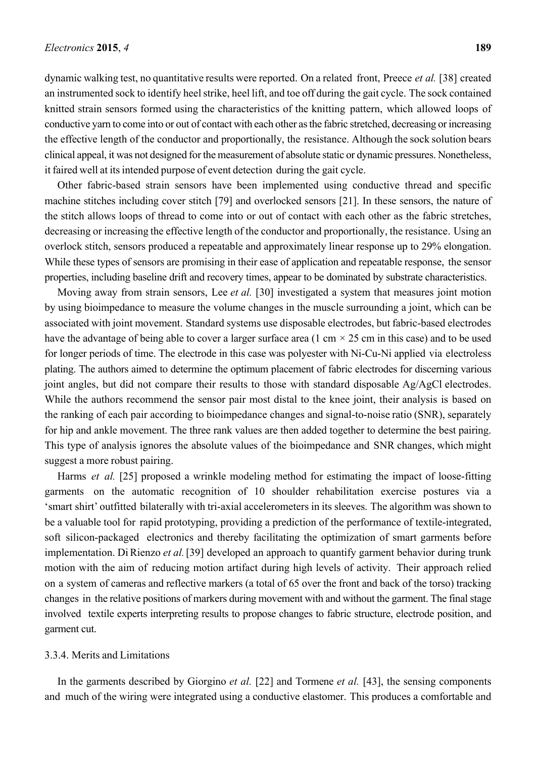dynamic walking test, no quantitative results were reported. On a related front, Preece *et al.* [38] created an instrumented sock to identify heel strike, heel lift, and toe off during the gait cycle. The sock contained knitted strain sensors formed using the characteristics of the knitting pattern, which allowed loops of conductive yarn to come into or out of contact with each other as the fabric stretched, decreasing or increasing the effective length of the conductor and proportionally, the resistance. Although the sock solution bears clinical appeal, it was not designed for the measurement of absolute static or dynamic pressures. Nonetheless, it faired well at its intended purpose of event detection during the gait cycle.

Other fabric-based strain sensors have been implemented using conductive thread and specific machine stitches including cover stitch [79] and overlocked sensors [21]. In these sensors, the nature of the stitch allows loops of thread to come into or out of contact with each other as the fabric stretches, decreasing or increasing the effective length of the conductor and proportionally, the resistance. Using an overlock stitch, sensors produced a repeatable and approximately linear response up to 29% elongation. While these types of sensors are promising in their ease of application and repeatable response, the sensor properties, including baseline drift and recovery times, appear to be dominated by substrate characteristics.

Moving away from strain sensors, Lee *et al.* [30] investigated a system that measures joint motion by using bioimpedance to measure the volume changes in the muscle surrounding a joint, which can be associated with joint movement. Standard systems use disposable electrodes, but fabric-based electrodes have the advantage of being able to cover a larger surface area (1 cm *×* 25 cm in this case) and to be used for longer periods of time. The electrode in this case was polyester with Ni-Cu-Ni applied via electroless plating. The authors aimed to determine the optimum placement of fabric electrodes for discerning various joint angles, but did not compare their results to those with standard disposable Ag/AgCl electrodes. While the authors recommend the sensor pair most distal to the knee joint, their analysis is based on the ranking of each pair according to bioimpedance changes and signal-to-noise ratio (SNR), separately for hip and ankle movement. The three rank values are then added together to determine the best pairing. This type of analysis ignores the absolute values of the bioimpedance and SNR changes, which might suggest a more robust pairing.

Harms *et al.* [25] proposed a wrinkle modeling method for estimating the impact of loose-fitting garments on the automatic recognition of 10 shoulder rehabilitation exercise postures via a 'smart shirt' outfitted bilaterally with tri-axial accelerometers in its sleeves. The algorithm was shown to be a valuable tool for rapid prototyping, providing a prediction of the performance of textile-integrated, soft silicon-packaged electronics and thereby facilitating the optimization of smart garments before implementation. Di Rienzo *et al.* [39] developed an approach to quantify garment behavior during trunk motion with the aim of reducing motion artifact during high levels of activity. Their approach relied on a system of cameras and reflective markers (a total of 65 over the front and back of the torso) tracking changes in the relative positions of markers during movement with and without the garment. The final stage involved textile experts interpreting results to propose changes to fabric structure, electrode position, and garment cut.

## 3.3.4. Merits and Limitations

In the garments described by Giorgino *et al.* [22] and Tormene *et al.* [43], the sensing components and much of the wiring were integrated using a conductive elastomer. This produces a comfortable and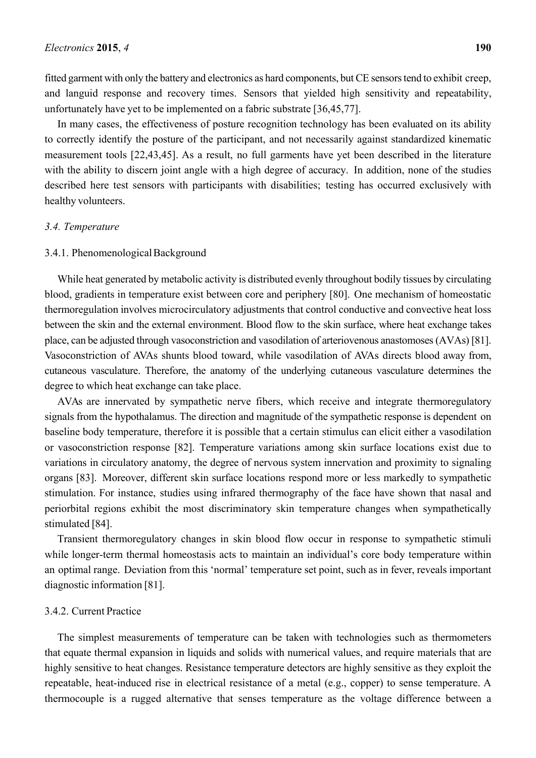fitted garment with only the battery and electronics as hard components, but CE sensors tend to exhibit creep, and languid response and recovery times. Sensors that yielded high sensitivity and repeatability, unfortunately have yet to be implemented on a fabric substrate [36,45,77].

In many cases, the effectiveness of posture recognition technology has been evaluated on its ability to correctly identify the posture of the participant, and not necessarily against standardized kinematic measurement tools [22,43,45]. As a result, no full garments have yet been described in the literature with the ability to discern joint angle with a high degree of accuracy. In addition, none of the studies described here test sensors with participants with disabilities; testing has occurred exclusively with healthy volunteers.

#### *3.4. Temperature*

### 3.4.1. Phenomenological Background

While heat generated by metabolic activity is distributed evenly throughout bodily tissues by circulating blood, gradients in temperature exist between core and periphery [80]. One mechanism of homeostatic thermoregulation involves microcirculatory adjustments that control conductive and convective heat loss between the skin and the external environment. Blood flow to the skin surface, where heat exchange takes place, can be adjusted through vasoconstriction and vasodilation of arteriovenous anastomoses (AVAs) [81]. Vasoconstriction of AVAs shunts blood toward, while vasodilation of AVAs directs blood away from, cutaneous vasculature. Therefore, the anatomy of the underlying cutaneous vasculature determines the degree to which heat exchange can take place.

AVAs are innervated by sympathetic nerve fibers, which receive and integrate thermoregulatory signals from the hypothalamus. The direction and magnitude of the sympathetic response is dependent on baseline body temperature, therefore it is possible that a certain stimulus can elicit either a vasodilation or vasoconstriction response [82]. Temperature variations among skin surface locations exist due to variations in circulatory anatomy, the degree of nervous system innervation and proximity to signaling organs [83]. Moreover, different skin surface locations respond more or less markedly to sympathetic stimulation. For instance, studies using infrared thermography of the face have shown that nasal and periorbital regions exhibit the most discriminatory skin temperature changes when sympathetically stimulated [84].

Transient thermoregulatory changes in skin blood flow occur in response to sympathetic stimuli while longer-term thermal homeostasis acts to maintain an individual's core body temperature within an optimal range. Deviation from this 'normal' temperature set point, such as in fever, reveals important diagnostic information [81].

## 3.4.2. Current Practice

The simplest measurements of temperature can be taken with technologies such as thermometers that equate thermal expansion in liquids and solids with numerical values, and require materials that are highly sensitive to heat changes. Resistance temperature detectors are highly sensitive as they exploit the repeatable, heat-induced rise in electrical resistance of a metal (e.g., copper) to sense temperature. A thermocouple is a rugged alternative that senses temperature as the voltage difference between a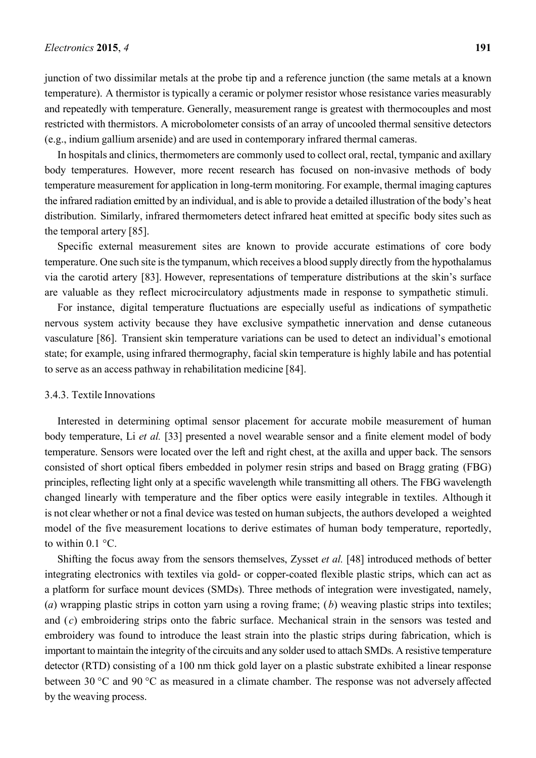junction of two dissimilar metals at the probe tip and a reference junction (the same metals at a known temperature). A thermistor is typically a ceramic or polymer resistor whose resistance varies measurably and repeatedly with temperature. Generally, measurement range is greatest with thermocouples and most restricted with thermistors. A microbolometer consists of an array of uncooled thermal sensitive detectors (e.g., indium gallium arsenide) and are used in contemporary infrared thermal cameras.

In hospitals and clinics, thermometers are commonly used to collect oral, rectal, tympanic and axillary body temperatures. However, more recent research has focused on non-invasive methods of body temperature measurement for application in long-term monitoring. For example, thermal imaging captures the infrared radiation emitted by an individual, and is able to provide a detailed illustration of the body's heat distribution. Similarly, infrared thermometers detect infrared heat emitted at specific body sites such as the temporal artery [85].

Specific external measurement sites are known to provide accurate estimations of core body temperature. One such site is the tympanum, which receives a blood supply directly from the hypothalamus via the carotid artery [83]. However, representations of temperature distributions at the skin's surface are valuable as they reflect microcirculatory adjustments made in response to sympathetic stimuli.

For instance, digital temperature fluctuations are especially useful as indications of sympathetic nervous system activity because they have exclusive sympathetic innervation and dense cutaneous vasculature [86]. Transient skin temperature variations can be used to detect an individual's emotional state; for example, using infrared thermography, facial skin temperature is highly labile and has potential to serve as an access pathway in rehabilitation medicine [84].

#### 3.4.3. Textile Innovations

Interested in determining optimal sensor placement for accurate mobile measurement of human body temperature, Li *et al.* [33] presented a novel wearable sensor and a finite element model of body temperature. Sensors were located over the left and right chest, at the axilla and upper back. The sensors consisted of short optical fibers embedded in polymer resin strips and based on Bragg grating (FBG) principles, reflecting light only at a specific wavelength while transmitting all others. The FBG wavelength changed linearly with temperature and the fiber optics were easily integrable in textiles. Although it is not clear whether or not a final device was tested on human subjects, the authors developed a weighted model of the five measurement locations to derive estimates of human body temperature, reportedly, to within  $0.1 \degree C$ .

Shifting the focus away from the sensors themselves, Zysset *et al.* [48] introduced methods of better integrating electronics with textiles via gold- or copper-coated flexible plastic strips, which can act as a platform for surface mount devices (SMDs). Three methods of integration were investigated, namely, (*a*) wrapping plastic strips in cotton yarn using a roving frame; (*b*) weaving plastic strips into textiles; and (*c*) embroidering strips onto the fabric surface. Mechanical strain in the sensors was tested and embroidery was found to introduce the least strain into the plastic strips during fabrication, which is important to maintain the integrity of the circuits and any solder used to attach SMDs. A resistive temperature detector (RTD) consisting of a 100 nm thick gold layer on a plastic substrate exhibited a linear response between 30 °C and 90 °C as measured in a climate chamber. The response was not adversely affected by the weaving process.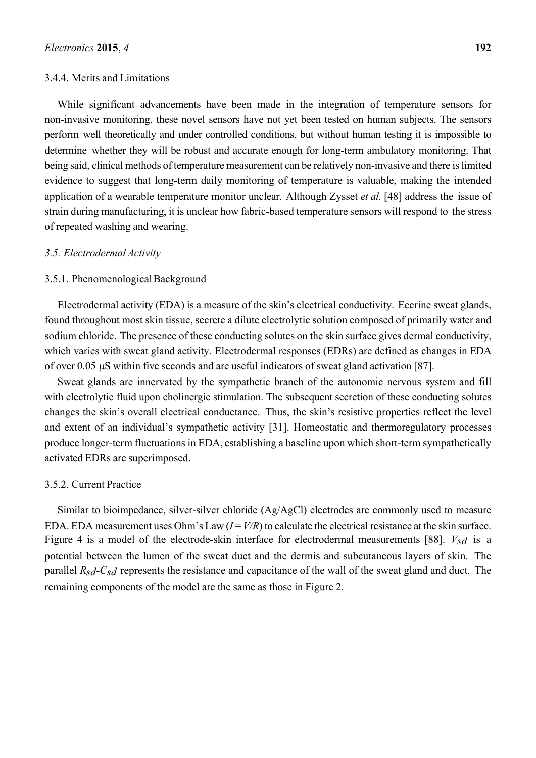## 3.4.4. Merits and Limitations

While significant advancements have been made in the integration of temperature sensors for non-invasive monitoring, these novel sensors have not yet been tested on human subjects. The sensors perform well theoretically and under controlled conditions, but without human testing it is impossible to determine whether they will be robust and accurate enough for long-term ambulatory monitoring. That being said, clinical methods of temperature measurement can be relatively non-invasive and there is limited evidence to suggest that long-term daily monitoring of temperature is valuable, making the intended application of a wearable temperature monitor unclear. Although Zysset *et al.* [48] address the issue of strain during manufacturing, it is unclear how fabric-based temperature sensors will respond to the stress of repeated washing and wearing.

## *3.5. Electrodermal Activity*

#### 3.5.1. Phenomenological Background

Electrodermal activity (EDA) is a measure of the skin's electrical conductivity. Eccrine sweat glands, found throughout most skin tissue, secrete a dilute electrolytic solution composed of primarily water and sodium chloride. The presence of these conducting solutes on the skin surface gives dermal conductivity, which varies with sweat gland activity. Electrodermal responses (EDRs) are defined as changes in EDA of over 0.05 μS within five seconds and are useful indicators of sweat gland activation [87].

Sweat glands are innervated by the sympathetic branch of the autonomic nervous system and fill with electrolytic fluid upon cholinergic stimulation. The subsequent secretion of these conducting solutes changes the skin's overall electrical conductance. Thus, the skin's resistive properties reflect the level and extent of an individual's sympathetic activity [31]. Homeostatic and thermoregulatory processes produce longer-term fluctuations in EDA, establishing a baseline upon which short-term sympathetically activated EDRs are superimposed.

#### 3.5.2. Current Practice

Similar to bioimpedance, silver-silver chloride (Ag/AgCl) electrodes are commonly used to measure EDA. EDA measurement uses Ohm's Law  $(I = V/R)$  to calculate the electrical resistance at the skin surface. Figure 4 is a model of the electrode-skin interface for electrodermal measurements [88]. *Vsd* is a potential between the lumen of the sweat duct and the dermis and subcutaneous layers of skin. The parallel *Rsd*-*Csd* represents the resistance and capacitance of the wall of the sweat gland and duct. The remaining components of the model are the same as those in Figure 2.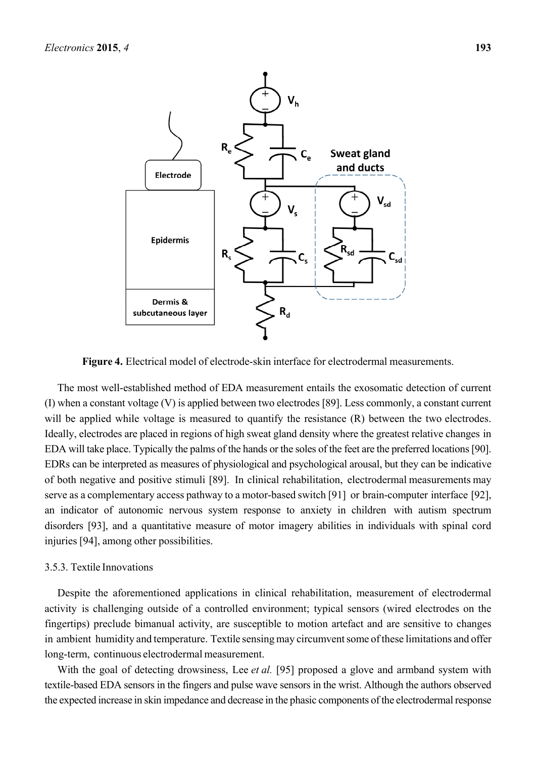

**Figure 4.** Electrical model of electrode-skin interface for electrodermal measurements.

The most well-established method of EDA measurement entails the exosomatic detection of current (I) when a constant voltage (V) is applied between two electrodes [89]. Less commonly, a constant current will be applied while voltage is measured to quantify the resistance (R) between the two electrodes. Ideally, electrodes are placed in regions of high sweat gland density where the greatest relative changes in EDA will take place. Typically the palms of the hands or the soles of the feet are the preferred locations [90]. EDRs can be interpreted as measures of physiological and psychological arousal, but they can be indicative of both negative and positive stimuli [89]. In clinical rehabilitation, electrodermal measurements may serve as a complementary access pathway to a motor-based switch [91] or brain-computer interface [92], an indicator of autonomic nervous system response to anxiety in children with autism spectrum disorders [93], and a quantitative measure of motor imagery abilities in individuals with spinal cord injuries [94], among other possibilities.

## 3.5.3. Textile Innovations

Despite the aforementioned applications in clinical rehabilitation, measurement of electrodermal activity is challenging outside of a controlled environment; typical sensors (wired electrodes on the fingertips) preclude bimanual activity, are susceptible to motion artefact and are sensitive to changes in ambient humidity and temperature. Textile sensing may circumvent some of these limitations and offer long-term, continuous electrodermal measurement.

With the goal of detecting drowsiness, Lee *et al.* [95] proposed a glove and armband system with textile-based EDA sensors in the fingers and pulse wave sensors in the wrist. Although the authors observed the expected increase in skin impedance and decrease in the phasic components of the electrodermal response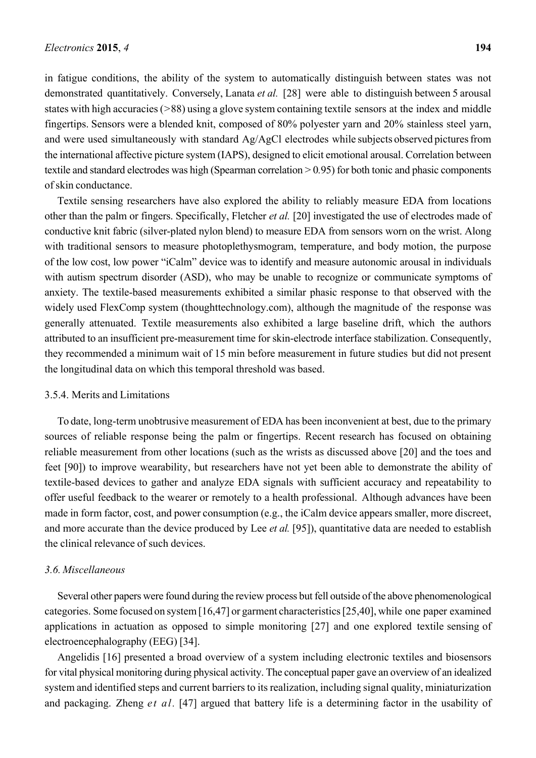in fatigue conditions, the ability of the system to automatically distinguish between states was not demonstrated quantitatively. Conversely, Lanata *et al.* [28] were able to distinguish between 5 arousal states with high accuracies (*>*88) using a glove system containing textile sensors at the index and middle fingertips. Sensors were a blended knit, composed of 80% polyester yarn and 20% stainless steel yarn, and were used simultaneously with standard Ag/AgCl electrodes while subjects observed pictures from the international affective picture system (IAPS), designed to elicit emotional arousal. Correlation between textile and standard electrodes was high (Spearman correlation > 0*.*95) for both tonic and phasic components of skin conductance.

Textile sensing researchers have also explored the ability to reliably measure EDA from locations other than the palm or fingers. Specifically, Fletcher *et al.* [20] investigated the use of electrodes made of conductive knit fabric (silver-plated nylon blend) to measure EDA from sensors worn on the wrist. Along with traditional sensors to measure photoplethysmogram, temperature, and body motion, the purpose of the low cost, low power "iCalm" device was to identify and measure autonomic arousal in individuals with autism spectrum disorder (ASD), who may be unable to recognize or communicate symptoms of anxiety. The textile-based measurements exhibited a similar phasic response to that observed with the widely used FlexComp system (thoughttechnology.com), although the magnitude of the response was generally attenuated. Textile measurements also exhibited a large baseline drift, which the authors attributed to an insufficient pre-measurement time for skin-electrode interface stabilization. Consequently, they recommended a minimum wait of 15 min before measurement in future studies but did not present the longitudinal data on which this temporal threshold was based.

# 3.5.4. Merits and Limitations

To date, long-term unobtrusive measurement of EDA has been inconvenient at best, due to the primary sources of reliable response being the palm or fingertips. Recent research has focused on obtaining reliable measurement from other locations (such as the wrists as discussed above [20] and the toes and feet [90]) to improve wearability, but researchers have not yet been able to demonstrate the ability of textile-based devices to gather and analyze EDA signals with sufficient accuracy and repeatability to offer useful feedback to the wearer or remotely to a health professional. Although advances have been made in form factor, cost, and power consumption (e.g., the iCalm device appears smaller, more discreet, and more accurate than the device produced by Lee *et al.* [95]), quantitative data are needed to establish the clinical relevance of such devices.

# *3.6. Miscellaneous*

Several other papers were found during the review process but fell outside of the above phenomenological categories. Some focused on system [16,47] or garment characteristics [25,40], while one paper examined applications in actuation as opposed to simple monitoring [27] and one explored textile sensing of electroencephalography (EEG) [34].

Angelidis [16] presented a broad overview of a system including electronic textiles and biosensors for vital physical monitoring during physical activity. The conceptual paper gave an overview of an idealized system and identified steps and current barriers to its realization, including signal quality, miniaturization and packaging. Zheng *et al.* [47] argued that battery life is a determining factor in the usability of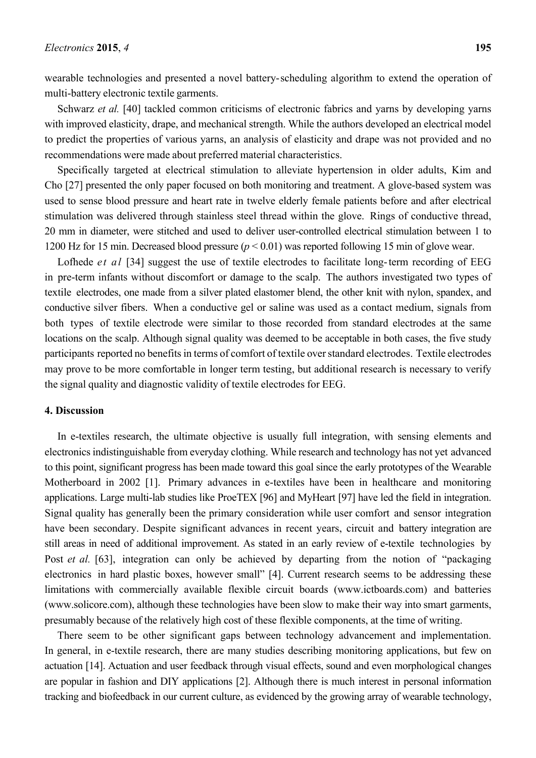wearable technologies and presented a novel battery-scheduling algorithm to extend the operation of multi-battery electronic textile garments.

Schwarz *et al.* [40] tackled common criticisms of electronic fabrics and yarns by developing yarns with improved elasticity, drape, and mechanical strength. While the authors developed an electrical model to predict the properties of various yarns, an analysis of elasticity and drape was not provided and no recommendations were made about preferred material characteristics.

Specifically targeted at electrical stimulation to alleviate hypertension in older adults, Kim and Cho [27] presented the only paper focused on both monitoring and treatment. A glove-based system was used to sense blood pressure and heart rate in twelve elderly female patients before and after electrical stimulation was delivered through stainless steel thread within the glove. Rings of conductive thread, 20 mm in diameter, were stitched and used to deliver user-controlled electrical stimulation between 1 to 1200 Hz for 15 min. Decreased blood pressure (*p* < 0.01) was reported following 15 min of glove wear.

Lofhede *et al* [34] suggest the use of textile electrodes to facilitate long-term recording of EEG in pre-term infants without discomfort or damage to the scalp. The authors investigated two types of textile electrodes, one made from a silver plated elastomer blend, the other knit with nylon, spandex, and conductive silver fibers. When a conductive gel or saline was used as a contact medium, signals from both types of textile electrode were similar to those recorded from standard electrodes at the same locations on the scalp. Although signal quality was deemed to be acceptable in both cases, the five study participants reported no benefits in terms of comfort of textile over standard electrodes. Textile electrodes may prove to be more comfortable in longer term testing, but additional research is necessary to verify the signal quality and diagnostic validity of textile electrodes for EEG.

## **4. Discussion**

In e-textiles research, the ultimate objective is usually full integration, with sensing elements and electronics indistinguishable from everyday clothing. While research and technology has not yet advanced to this point, significant progress has been made toward this goal since the early prototypes of the Wearable Motherboard in 2002 [1]. Primary advances in e-textiles have been in healthcare and monitoring applications. Large multi-lab studies like ProeTEX [96] and MyHeart [97] have led the field in integration. Signal quality has generally been the primary consideration while user comfort and sensor integration have been secondary. Despite significant advances in recent years, circuit and battery integration are still areas in need of additional improvement. As stated in an early review of e-textile technologies by Post *et al.* [63], integration can only be achieved by departing from the notion of "packaging electronics in hard plastic boxes, however small" [4]. Current research seems to be addressing these limitations with commercially available flexible circuit boards (www.ictboards.com) and batteries (www.solicore.com), although these technologies have been slow to make their way into smart garments, presumably because of the relatively high cost of these flexible components, at the time of writing.

There seem to be other significant gaps between technology advancement and implementation. In general, in e-textile research, there are many studies describing monitoring applications, but few on actuation [14]. Actuation and user feedback through visual effects, sound and even morphological changes are popular in fashion and DIY applications [2]. Although there is much interest in personal information tracking and biofeedback in our current culture, as evidenced by the growing array of wearable technology,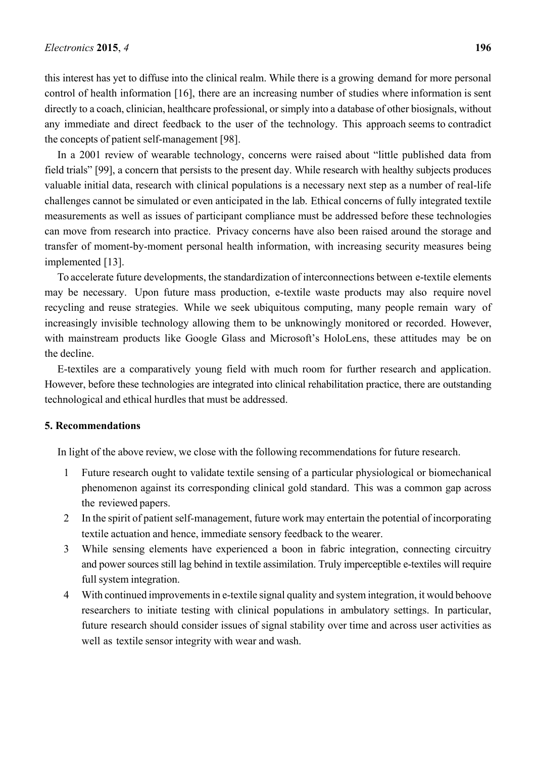this interest has yet to diffuse into the clinical realm. While there is a growing demand for more personal control of health information [16], there are an increasing number of studies where information is sent directly to a coach, clinician, healthcare professional, or simply into a database of other biosignals, without any immediate and direct feedback to the user of the technology. This approach seems to contradict the concepts of patient self-management [98].

In a 2001 review of wearable technology, concerns were raised about "little published data from field trials" [99], a concern that persists to the present day. While research with healthy subjects produces valuable initial data, research with clinical populations is a necessary next step as a number of real-life challenges cannot be simulated or even anticipated in the lab. Ethical concerns of fully integrated textile measurements as well as issues of participant compliance must be addressed before these technologies can move from research into practice. Privacy concerns have also been raised around the storage and transfer of moment-by-moment personal health information, with increasing security measures being implemented [13].

To accelerate future developments, the standardization of interconnections between e-textile elements may be necessary. Upon future mass production, e-textile waste products may also require novel recycling and reuse strategies. While we seek ubiquitous computing, many people remain wary of increasingly invisible technology allowing them to be unknowingly monitored or recorded. However, with mainstream products like Google Glass and Microsoft's HoloLens, these attitudes may be on the decline.

E-textiles are a comparatively young field with much room for further research and application. However, before these technologies are integrated into clinical rehabilitation practice, there are outstanding technological and ethical hurdles that must be addressed.

## **5. Recommendations**

In light of the above review, we close with the following recommendations for future research.

- 1 Future research ought to validate textile sensing of a particular physiological or biomechanical phenomenon against its corresponding clinical gold standard. This was a common gap across the reviewed papers.
- 2 In the spirit of patient self-management, future work may entertain the potential of incorporating textile actuation and hence, immediate sensory feedback to the wearer.
- 3 While sensing elements have experienced a boon in fabric integration, connecting circuitry and power sources still lag behind in textile assimilation. Truly imperceptible e-textiles will require full system integration.
- 4 With continued improvements in e-textile signal quality and system integration, it would behoove researchers to initiate testing with clinical populations in ambulatory settings. In particular, future research should consider issues of signal stability over time and across user activities as well as textile sensor integrity with wear and wash.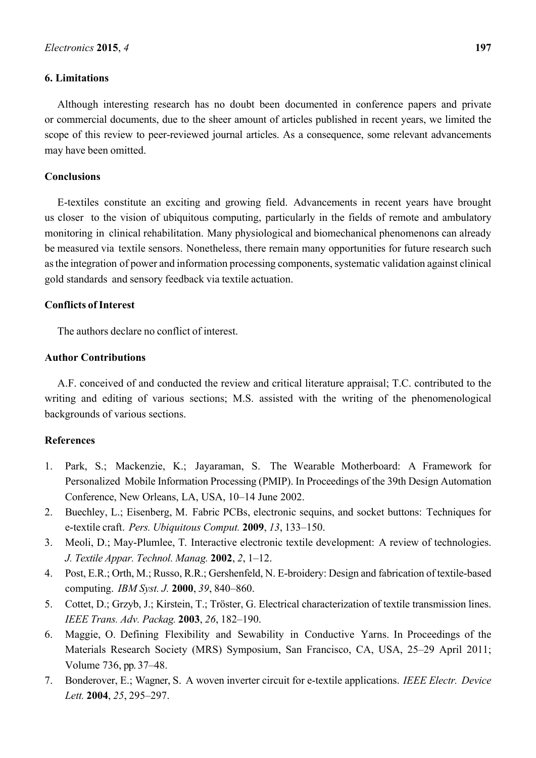# **6. Limitations**

Although interesting research has no doubt been documented in conference papers and private or commercial documents, due to the sheer amount of articles published in recent years, we limited the scope of this review to peer-reviewed journal articles. As a consequence, some relevant advancements may have been omitted.

# **Conclusions**

E-textiles constitute an exciting and growing field. Advancements in recent years have brought us closer to the vision of ubiquitous computing, particularly in the fields of remote and ambulatory monitoring in clinical rehabilitation. Many physiological and biomechanical phenomenons can already be measured via textile sensors. Nonetheless, there remain many opportunities for future research such as the integration of power and information processing components, systematic validation against clinical gold standards and sensory feedback via textile actuation.

# **Conflicts of Interest**

The authors declare no conflict of interest.

# **Author Contributions**

A.F. conceived of and conducted the review and critical literature appraisal; T.C. contributed to the writing and editing of various sections; M.S. assisted with the writing of the phenomenological backgrounds of various sections.

# **References**

- 1. Park, S.; Mackenzie, K.; Jayaraman, S. The Wearable Motherboard: A Framework for Personalized Mobile Information Processing (PMIP). In Proceedings of the 39th Design Automation Conference, New Orleans, LA, USA, 10–14 June 2002.
- 2. Buechley, L.; Eisenberg, M. Fabric PCBs, electronic sequins, and socket buttons: Techniques for e-textile craft. *Pers. Ubiquitous Comput.* **2009**, *13*, 133–150.
- 3. Meoli, D.; May-Plumlee, T. Interactive electronic textile development: A review of technologies. *J. Textile Appar. Technol. Manag.* **2002**, *2*, 1–12.
- 4. Post, E.R.; Orth, M.; Russo, R.R.; Gershenfeld, N. E-broidery: Design and fabrication of textile-based computing. *IBM Syst. J.* **2000**, *39*, 840–860.
- 5. Cottet, D.; Grzyb, J.; Kirstein, T.; Tröster, G. Electrical characterization of textile transmission lines. *IEEE Trans. Adv. Packag.* **2003**, *26*, 182–190.
- 6. Maggie, O. Defining Flexibility and Sewability in Conductive Yarns. In Proceedings of the Materials Research Society (MRS) Symposium, San Francisco, CA, USA, 25–29 April 2011; Volume 736, pp. 37–48.
- 7. Bonderover, E.; Wagner, S. A woven inverter circuit for e-textile applications. *IEEE Electr. Device Lett.* **2004**, *25*, 295–297.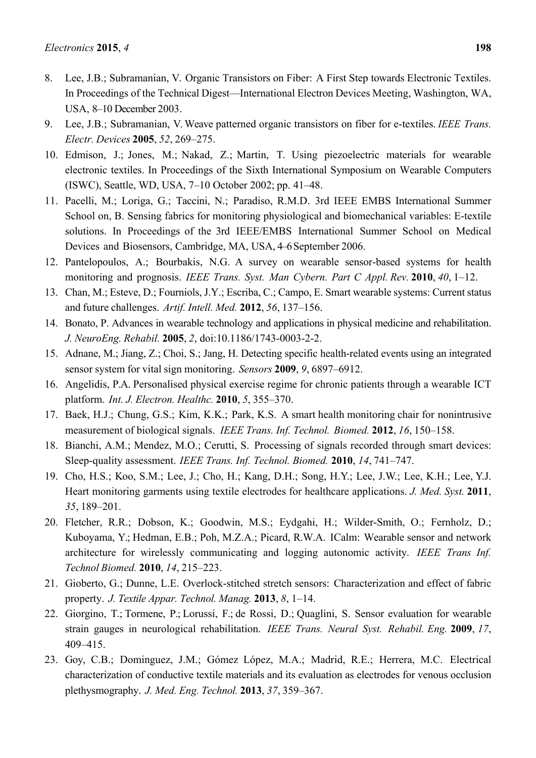- 8. Lee, J.B.; Subramanian, V. Organic Transistors on Fiber: A First Step towards Electronic Textiles. In Proceedings of the Technical Digest—International Electron Devices Meeting, Washington, WA, USA, 8–10 December 2003.
- 9. Lee, J.B.; Subramanian, V. Weave patterned organic transistors on fiber for e-textiles. *IEEE Trans. Electr. Devices* **2005**, *52*, 269–275.
- 10. Edmison, J.; Jones, M.; Nakad, Z.; Martin, T. Using piezoelectric materials for wearable electronic textiles. In Proceedings of the Sixth International Symposium on Wearable Computers (ISWC), Seattle, WD, USA, 7–10 October 2002; pp. 41–48.
- 11. Pacelli, M.; Loriga, G.; Taccini, N.; Paradiso, R.M.D. 3rd IEEE EMBS International Summer School on, B. Sensing fabrics for monitoring physiological and biomechanical variables: E-textile solutions. In Proceedings of the 3rd IEEE/EMBS International Summer School on Medical Devices and Biosensors, Cambridge, MA, USA, 4–6 September 2006.
- 12. Pantelopoulos, A.; Bourbakis, N.G. A survey on wearable sensor-based systems for health monitoring and prognosis. *IEEE Trans. Syst. Man Cybern. Part C Appl. Rev.* **2010**, *40*, 1–12.
- 13. Chan, M.; Esteve, D.; Fourniols, J.Y.; Escriba, C.; Campo, E. Smart wearable systems: Current status and future challenges. *Artif. Intell. Med.* **2012**, *56*, 137–156.
- 14. Bonato, P. Advances in wearable technology and applications in physical medicine and rehabilitation. *J. NeuroEng. Rehabil.* **2005**, *2*, doi:10.1186/1743-0003-2-2.
- 15. Adnane, M.; Jiang, Z.; Choi, S.; Jang, H. Detecting specific health-related events using an integrated sensor system for vital sign monitoring. *Sensors* **2009**, *9*, 6897–6912.
- 16. Angelidis, P.A. Personalised physical exercise regime for chronic patients through a wearable ICT platform. *Int. J. Electron. Healthc.* **2010**, *5*, 355–370.
- 17. Baek, H.J.; Chung, G.S.; Kim, K.K.; Park, K.S. A smart health monitoring chair for nonintrusive measurement of biological signals. *IEEE Trans. Inf. Technol. Biomed.* **2012**, *16*, 150–158.
- 18. Bianchi, A.M.; Mendez, M.O.; Cerutti, S. Processing of signals recorded through smart devices: Sleep-quality assessment. *IEEE Trans. Inf. Technol. Biomed.* **2010**, *14*, 741–747.
- 19. Cho, H.S.; Koo, S.M.; Lee, J.; Cho, H.; Kang, D.H.; Song, H.Y.; Lee, J.W.; Lee, K.H.; Lee, Y.J. Heart monitoring garments using textile electrodes for healthcare applications. *J. Med. Syst.* **2011**, *35*, 189–201.
- 20. Fletcher, R.R.; Dobson, K.; Goodwin, M.S.; Eydgahi, H.; Wilder-Smith, O.; Fernholz, D.; Kuboyama, Y.; Hedman, E.B.; Poh, M.Z.A.; Picard, R.W.A. ICalm: Wearable sensor and network architecture for wirelessly communicating and logging autonomic activity. *IEEE Trans Inf. Technol Biomed.* **2010**, *14*, 215–223.
- 21. Gioberto, G.; Dunne, L.E. Overlock-stitched stretch sensors: Characterization and effect of fabric property. *J. Textile Appar. Technol. Manag.* **2013**, *8*, 1–14.
- 22. Giorgino, T.; Tormene, P.; Lorussi, F.; de Rossi, D.; Quaglini, S. Sensor evaluation for wearable strain gauges in neurological rehabilitation. *IEEE Trans. Neural Syst. Rehabil. Eng.* **2009**, *17*, 409–415.
- 23. Goy, C.B.; Dominguez, J.M.; Gómez López, M.A.; Madrid, R.E.; Herrera, M.C. Electrical characterization of conductive textile materials and its evaluation as electrodes for venous occlusion plethysmography. *J. Med. Eng. Technol.* **2013**, *37*, 359–367.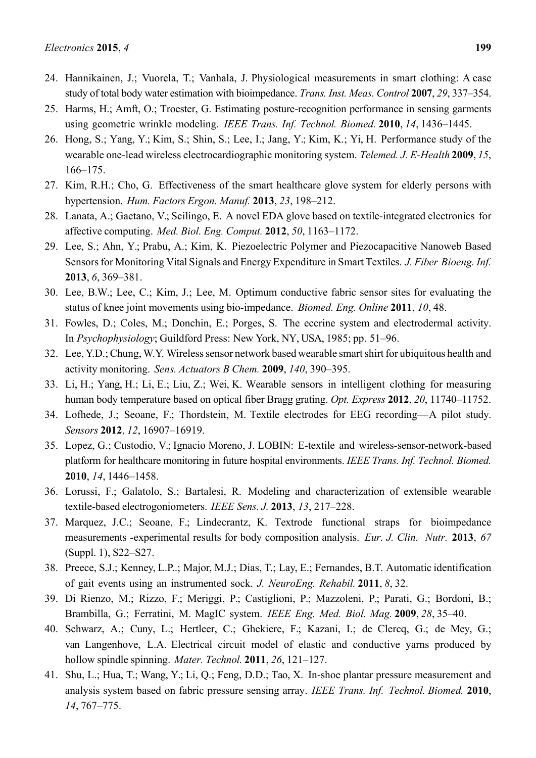- 25. Harms, H.; Amft, O.; Troester, G. Estimating posture-recognition performance in sensing garments using geometric wrinkle modeling. *IEEE Trans. Inf. Technol. Biomed.* **2010**, *14*, 1436–1445.
- 26. Hong, S.; Yang, Y.; Kim, S.; Shin, S.; Lee, I.; Jang, Y.; Kim, K.; Yi, H. Performance study of the wearable one-lead wireless electrocardiographic monitoring system. *Telemed. J. E-Health* **2009**, *15*, 166–175.
- 27. Kim, R.H.; Cho, G. Effectiveness of the smart healthcare glove system for elderly persons with hypertension. *Hum. Factors Ergon. Manuf.* **2013**, *23*, 198–212.
- 28. Lanata, A.; Gaetano, V.; Scilingo, E. A novel EDA glove based on textile-integrated electronics for affective computing. *Med. Biol. Eng. Comput.* **2012**, *50*, 1163–1172.
- 29. Lee, S.; Ahn, Y.; Prabu, A.; Kim, K. Piezoelectric Polymer and Piezocapacitive Nanoweb Based Sensors for Monitoring Vital Signals and Energy Expenditure in Smart Textiles. *J. Fiber Bioeng. Inf.*  **2013**, *6*, 369–381.
- 30. Lee, B.W.; Lee, C.; Kim, J.; Lee, M. Optimum conductive fabric sensor sites for evaluating the status of knee joint movements using bio-impedance. *Biomed. Eng. Online* **2011**, *10*, 48.
- 31. Fowles, D.; Coles, M.; Donchin, E.; Porges, S. The eccrine system and electrodermal activity. In *Psychophysiology*; Guildford Press: New York, NY, USA, 1985; pp. 51–96.
- 32. Lee, Y.D.; Chung, W.Y. Wireless sensor network based wearable smart shirt for ubiquitous health and activity monitoring. *Sens. Actuators B Chem.* **2009**, *140*, 390–395.
- 33. Li, H.; Yang, H.; Li, E.; Liu, Z.; Wei, K. Wearable sensors in intelligent clothing for measuring human body temperature based on optical fiber Bragg grating. *Opt. Express* **2012**, *20*, 11740–11752.
- 34. Lofhede, J.; Seoane, F.; Thordstein, M. Textile electrodes for EEG recording—A pilot study. *Sensors* **2012**, *12*, 16907–16919.
- 35. Lopez, G.; Custodio, V.; Ignacio Moreno, J. LOBIN: E-textile and wireless-sensor-network-based platform for healthcare monitoring in future hospital environments. *IEEE Trans. Inf. Technol. Biomed.*  **2010**, *14*, 1446–1458.
- 36. Lorussi, F.; Galatolo, S.; Bartalesi, R. Modeling and characterization of extensible wearable textile-based electrogoniometers. *IEEE Sens. J.* **2013**, *13*, 217–228.
- 37. Marquez, J.C.; Seoane, F.; Lindecrantz, K. Textrode functional straps for bioimpedance measurements -experimental results for body composition analysis. *Eur. J. Clin. Nutr.* **2013**, *67*  (Suppl. 1), S22–S27.
- 38. Preece, S.J.; Kenney, L.P..; Major, M.J.; Dias, T.; Lay, E.; Fernandes, B.T. Automatic identification of gait events using an instrumented sock. *J. NeuroEng. Rehabil.* **2011**, *8*, 32.
- 39. Di Rienzo, M.; Rizzo, F.; Meriggi, P.; Castiglioni, P.; Mazzoleni, P.; Parati, G.; Bordoni, B.; Brambilla, G.; Ferratini, M. MagIC system. *IEEE Eng. Med. Biol. Mag.* **2009**, *28*, 35–40.
- 40. Schwarz, A.; Cuny, L.; Hertleer, C.; Ghekiere, F.; Kazani, I.; de Clercq, G.; de Mey, G.; van Langenhove, L.A. Electrical circuit model of elastic and conductive yarns produced by hollow spindle spinning. *Mater. Technol.* **2011**, *26*, 121–127.
- 41. Shu, L.; Hua, T.; Wang, Y.; Li, Q.; Feng, D.D.; Tao, X. In-shoe plantar pressure measurement and analysis system based on fabric pressure sensing array. *IEEE Trans. Inf. Technol. Biomed.* **2010**, *14*, 767–775.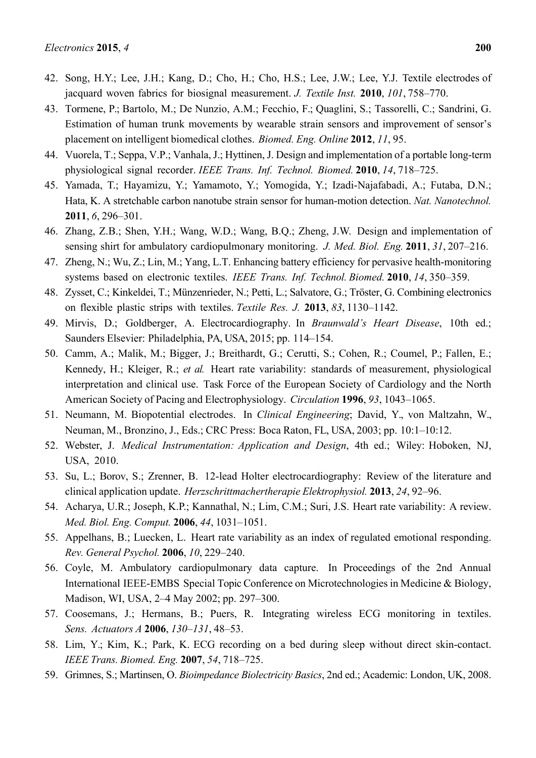- 42. Song, H.Y.; Lee, J.H.; Kang, D.; Cho, H.; Cho, H.S.; Lee, J.W.; Lee, Y.J. Textile electrodes of jacquard woven fabrics for biosignal measurement. *J. Textile Inst.* **2010**, *101*, 758–770.
- 43. Tormene, P.; Bartolo, M.; De Nunzio, A.M.; Fecchio, F.; Quaglini, S.; Tassorelli, C.; Sandrini, G. Estimation of human trunk movements by wearable strain sensors and improvement of sensor's placement on intelligent biomedical clothes. *Biomed. Eng. Online* **2012**, *11*, 95.
- 44. Vuorela, T.; Seppa, V.P.; Vanhala, J.; Hyttinen, J. Design and implementation of a portable long-term physiological signal recorder. *IEEE Trans. Inf. Technol. Biomed.* **2010**, *14*, 718–725.
- 45. Yamada, T.; Hayamizu, Y.; Yamamoto, Y.; Yomogida, Y.; Izadi-Najafabadi, A.; Futaba, D.N.; Hata, K. A stretchable carbon nanotube strain sensor for human-motion detection. *Nat. Nanotechnol.*  **2011**, *6*, 296–301.
- 46. Zhang, Z.B.; Shen, Y.H.; Wang, W.D.; Wang, B.Q.; Zheng, J.W. Design and implementation of sensing shirt for ambulatory cardiopulmonary monitoring. *J. Med. Biol. Eng.* **2011**, *31*, 207–216.
- 47. Zheng, N.; Wu, Z.; Lin, M.; Yang, L.T. Enhancing battery efficiency for pervasive health-monitoring systems based on electronic textiles. *IEEE Trans. Inf. Technol. Biomed.* **2010**, *14*, 350–359.
- 48. Zysset, C.; Kinkeldei, T.; Münzenrieder, N.; Petti, L.; Salvatore, G.; Tröster, G. Combining electronics on flexible plastic strips with textiles. *Textile Res. J.* **2013**, *83*, 1130–1142.
- 49. Mirvis, D.; Goldberger, A. Electrocardiography. In *Braunwald's Heart Disease*, 10th ed.; Saunders Elsevier: Philadelphia, PA, USA, 2015; pp. 114–154.
- 50. Camm, A.; Malik, M.; Bigger, J.; Breithardt, G.; Cerutti, S.; Cohen, R.; Coumel, P.; Fallen, E.; Kennedy, H.; Kleiger, R.; *et al.* Heart rate variability: standards of measurement, physiological interpretation and clinical use. Task Force of the European Society of Cardiology and the North American Society of Pacing and Electrophysiology. *Circulation* **1996**, *93*, 1043–1065.
- 51. Neumann, M. Biopotential electrodes. In *Clinical Engineering*; David, Y., von Maltzahn, W., Neuman, M., Bronzino, J., Eds.; CRC Press: Boca Raton, FL, USA, 2003; pp. 10:1–10:12.
- 52. Webster, J. *Medical Instrumentation: Application and Design*, 4th ed.; Wiley: Hoboken, NJ, USA, 2010.
- 53. Su, L.; Borov, S.; Zrenner, B. 12-lead Holter electrocardiography: Review of the literature and clinical application update. *Herzschrittmachertherapie Elektrophysiol.* **2013**, *24*, 92–96.
- 54. Acharya, U.R.; Joseph, K.P.; Kannathal, N.; Lim, C.M.; Suri, J.S. Heart rate variability: A review. *Med. Biol. Eng. Comput.* **2006**, *44*, 1031–1051.
- 55. Appelhans, B.; Luecken, L. Heart rate variability as an index of regulated emotional responding. *Rev. General Psychol.* **2006**, *10*, 229–240.
- 56. Coyle, M. Ambulatory cardiopulmonary data capture. In Proceedings of the 2nd Annual International IEEE-EMBS Special Topic Conference on Microtechnologies in Medicine & Biology, Madison, WI, USA, 2–4 May 2002; pp. 297–300.
- 57. Coosemans, J.; Hermans, B.; Puers, R. Integrating wireless ECG monitoring in textiles. *Sens. Actuators A* **2006**, *130*–*131*, 48–53.
- 58. Lim, Y.; Kim, K.; Park, K. ECG recording on a bed during sleep without direct skin-contact. *IEEE Trans. Biomed. Eng.* **2007**, *54*, 718–725.
- 59. Grimnes, S.; Martinsen, O. *Bioimpedance Biolectricity Basics*, 2nd ed.; Academic: London, UK, 2008.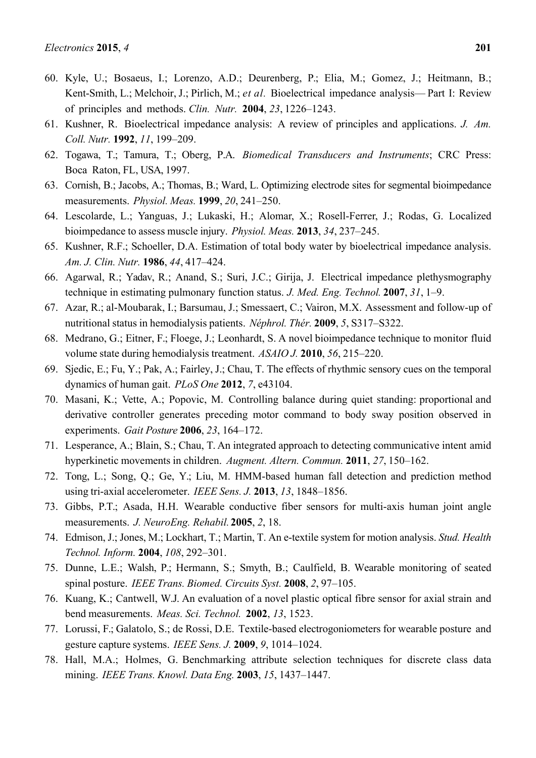- 60. Kyle, U.; Bosaeus, I.; Lorenzo, A.D.; Deurenberg, P.; Elia, M.; Gomez, J.; Heitmann, B.; Kent-Smith, L.; Melchoir, J.; Pirlich, M.; *et al.* Bioelectrical impedance analysis— Part I: Review of principles and methods. *Clin. Nutr.* **2004**, *23*, 1226–1243.
- 61. Kushner, R. Bioelectrical impedance analysis: A review of principles and applications. *J. Am. Coll. Nutr.* **1992**, *11*, 199–209.
- 62. Togawa, T.; Tamura, T.; Oberg, P.A. *Biomedical Transducers and Instruments*; CRC Press: Boca Raton, FL, USA, 1997.
- 63. Cornish, B.; Jacobs, A.; Thomas, B.; Ward, L. Optimizing electrode sites for segmental bioimpedance measurements. *Physiol. Meas.* **1999**, *20*, 241–250.
- 64. Lescolarde, L.; Yanguas, J.; Lukaski, H.; Alomar, X.; Rosell-Ferrer, J.; Rodas, G. Localized bioimpedance to assess muscle injury. *Physiol. Meas.* **2013**, *34*, 237–245.
- 65. Kushner, R.F.; Schoeller, D.A. Estimation of total body water by bioelectrical impedance analysis. *Am. J. Clin. Nutr.* **1986**, *44*, 417–424.
- 66. Agarwal, R.; Yadav, R.; Anand, S.; Suri, J.C.; Girija, J. Electrical impedance plethysmography technique in estimating pulmonary function status. *J. Med. Eng. Technol.* **2007**, *31*, 1–9.
- 67. Azar, R.; al-Moubarak, I.; Barsumau, J.; Smessaert, C.; Vairon, M.X. Assessment and follow-up of nutritional status in hemodialysis patients. *Néphrol. Thér.* **2009**, *5*, S317–S322.
- 68. Medrano, G.; Eitner, F.; Floege, J.; Leonhardt, S. A novel bioimpedance technique to monitor fluid volume state during hemodialysis treatment. *ASAIO J.* **2010**, *56*, 215–220.
- 69. Sjedic, E.; Fu, Y.; Pak, A.; Fairley, J.; Chau, T. The effects of rhythmic sensory cues on the temporal dynamics of human gait. *PLoS One* **2012**, *7*, e43104.
- 70. Masani, K.; Vette, A.; Popovic, M. Controlling balance during quiet standing: proportional and derivative controller generates preceding motor command to body sway position observed in experiments. *Gait Posture* **2006**, *23*, 164–172.
- 71. Lesperance, A.; Blain, S.; Chau, T. An integrated approach to detecting communicative intent amid hyperkinetic movements in children. *Augment. Altern. Commun.* **2011**, *27*, 150–162.
- 72. Tong, L.; Song, Q.; Ge, Y.; Liu, M. HMM-based human fall detection and prediction method using tri-axial accelerometer. *IEEE Sens. J.* **2013**, *13*, 1848–1856.
- 73. Gibbs, P.T.; Asada, H.H. Wearable conductive fiber sensors for multi-axis human joint angle measurements. *J. NeuroEng. Rehabil.* **2005**, *2*, 18.
- 74. Edmison, J.; Jones, M.; Lockhart, T.; Martin, T. An e-textile system for motion analysis. *Stud. Health Technol. Inform.* **2004**, *108*, 292–301.
- 75. Dunne, L.E.; Walsh, P.; Hermann, S.; Smyth, B.; Caulfield, B. Wearable monitoring of seated spinal posture. *IEEE Trans. Biomed. Circuits Syst.* **2008**, *2*, 97–105.
- 76. Kuang, K.; Cantwell, W.J. An evaluation of a novel plastic optical fibre sensor for axial strain and bend measurements. *Meas. Sci. Technol.* **2002**, *13*, 1523.
- 77. Lorussi, F.; Galatolo, S.; de Rossi, D.E. Textile-based electrogoniometers for wearable posture and gesture capture systems. *IEEE Sens. J.* **2009**, *9*, 1014–1024.
- 78. Hall, M.A.; Holmes, G. Benchmarking attribute selection techniques for discrete class data mining. *IEEE Trans. Knowl. Data Eng.* **2003**, *15*, 1437–1447.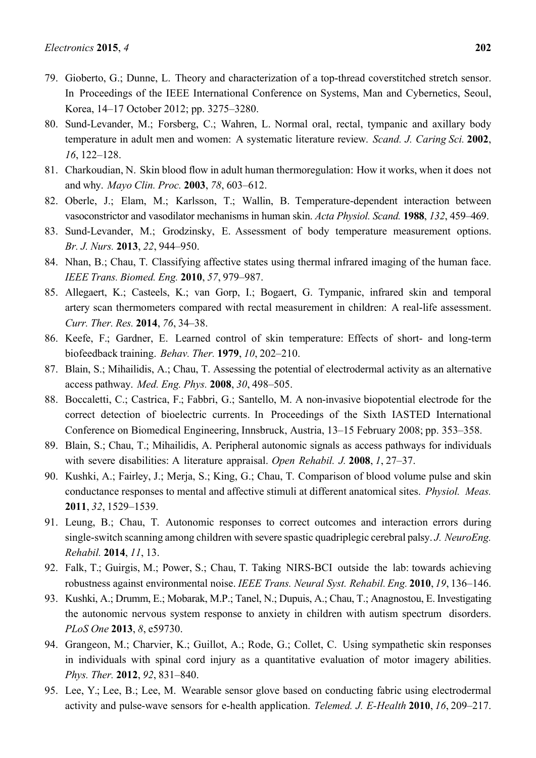- 79. Gioberto, G.; Dunne, L. Theory and characterization of a top-thread coverstitched stretch sensor. In Proceedings of the IEEE International Conference on Systems, Man and Cybernetics, Seoul, Korea, 14–17 October 2012; pp. 3275–3280.
- 80. Sund-Levander, M.; Forsberg, C.; Wahren, L. Normal oral, rectal, tympanic and axillary body temperature in adult men and women: A systematic literature review. *Scand. J. Caring Sci.* **2002**, *16*, 122–128.
- 81. Charkoudian, N. Skin blood flow in adult human thermoregulation: How it works, when it does not and why. *Mayo Clin. Proc.* **2003**, *78*, 603–612.
- 82. Oberle, J.; Elam, M.; Karlsson, T.; Wallin, B. Temperature-dependent interaction between vasoconstrictor and vasodilator mechanisms in human skin. *Acta Physiol. Scand.* **1988**, *132*, 459–469.
- 83. Sund-Levander, M.; Grodzinsky, E. Assessment of body temperature measurement options. *Br. J. Nurs.* **2013**, *22*, 944–950.
- 84. Nhan, B.; Chau, T. Classifying affective states using thermal infrared imaging of the human face. *IEEE Trans. Biomed. Eng.* **2010**, *57*, 979–987.
- 85. Allegaert, K.; Casteels, K.; van Gorp, I.; Bogaert, G. Tympanic, infrared skin and temporal artery scan thermometers compared with rectal measurement in children: A real-life assessment. *Curr. Ther. Res.* **2014**, *76*, 34–38.
- 86. Keefe, F.; Gardner, E. Learned control of skin temperature: Effects of short- and long-term biofeedback training. *Behav. Ther.* **1979**, *10*, 202–210.
- 87. Blain, S.; Mihailidis, A.; Chau, T. Assessing the potential of electrodermal activity as an alternative access pathway. *Med. Eng. Phys.* **2008**, *30*, 498–505.
- 88. Boccaletti, C.; Castrica, F.; Fabbri, G.; Santello, M. A non-invasive biopotential electrode for the correct detection of bioelectric currents. In Proceedings of the Sixth IASTED International Conference on Biomedical Engineering, Innsbruck, Austria, 13–15 February 2008; pp. 353–358.
- 89. Blain, S.; Chau, T.; Mihailidis, A. Peripheral autonomic signals as access pathways for individuals with severe disabilities: A literature appraisal. *Open Rehabil. J.* **2008**, *1*, 27–37.
- 90. Kushki, A.; Fairley, J.; Merja, S.; King, G.; Chau, T. Comparison of blood volume pulse and skin conductance responses to mental and affective stimuli at different anatomical sites. *Physiol. Meas.*  **2011**, *32*, 1529–1539.
- 91. Leung, B.; Chau, T. Autonomic responses to correct outcomes and interaction errors during single-switch scanning among children with severe spastic quadriplegic cerebral palsy. *J. NeuroEng. Rehabil.* **2014**, *11*, 13.
- 92. Falk, T.; Guirgis, M.; Power, S.; Chau, T. Taking NIRS-BCI outside the lab: towards achieving robustness against environmental noise. *IEEE Trans. Neural Syst. Rehabil. Eng.* **2010**, *19*, 136–146.
- 93. Kushki, A.; Drumm, E.; Mobarak, M.P.; Tanel, N.; Dupuis, A.; Chau, T.; Anagnostou, E. Investigating the autonomic nervous system response to anxiety in children with autism spectrum disorders. *PLoS One* **2013**, *8*, e59730.
- 94. Grangeon, M.; Charvier, K.; Guillot, A.; Rode, G.; Collet, C. Using sympathetic skin responses in individuals with spinal cord injury as a quantitative evaluation of motor imagery abilities. *Phys. Ther.* **2012**, *92*, 831–840.
- 95. Lee, Y.; Lee, B.; Lee, M. Wearable sensor glove based on conducting fabric using electrodermal activity and pulse-wave sensors for e-health application. *Telemed. J. E-Health* **2010**, *16*, 209–217.